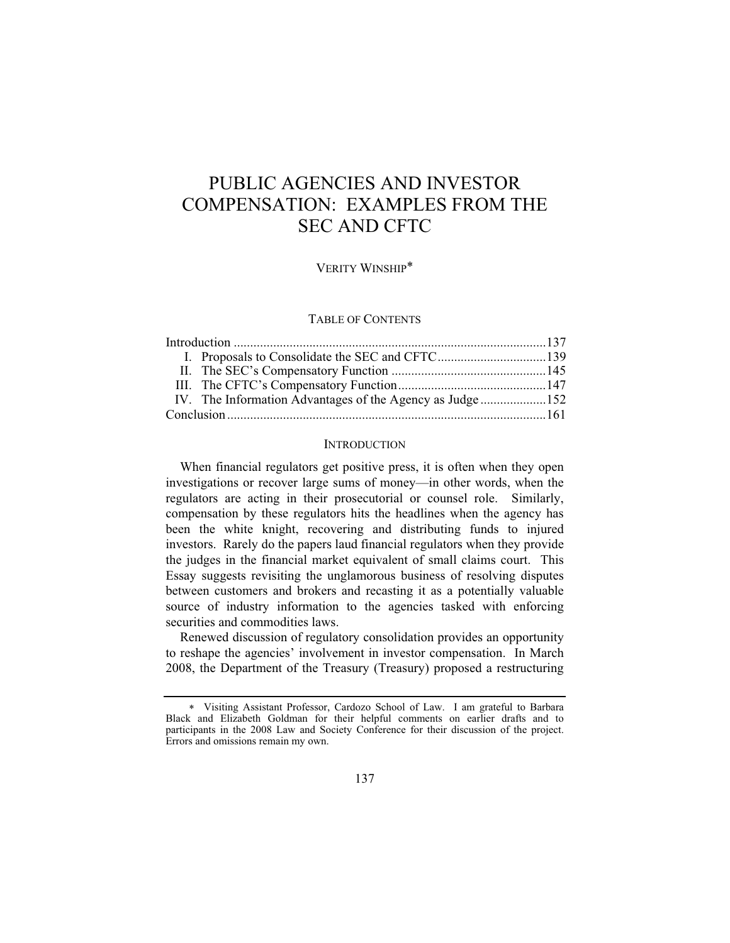# PUBLIC AGENCIES AND INVESTOR COMPENSATION: EXAMPLES FROM THE SEC AND CFTC

VERITY WINSHIP

## TABLE OF CONTENTS

# **INTRODUCTION**

When financial regulators get positive press, it is often when they open investigations or recover large sums of money—in other words, when the regulators are acting in their prosecutorial or counsel role. Similarly, compensation by these regulators hits the headlines when the agency has been the white knight, recovering and distributing funds to injured investors. Rarely do the papers laud financial regulators when they provide the judges in the financial market equivalent of small claims court. This Essay suggests revisiting the unglamorous business of resolving disputes between customers and brokers and recasting it as a potentially valuable source of industry information to the agencies tasked with enforcing securities and commodities laws.

Renewed discussion of regulatory consolidation provides an opportunity to reshape the agencies' involvement in investor compensation. In March 2008, the Department of the Treasury (Treasury) proposed a restructuring

 Visiting Assistant Professor, Cardozo School of Law. I am grateful to Barbara Black and Elizabeth Goldman for their helpful comments on earlier drafts and to participants in the 2008 Law and Society Conference for their discussion of the project. Errors and omissions remain my own.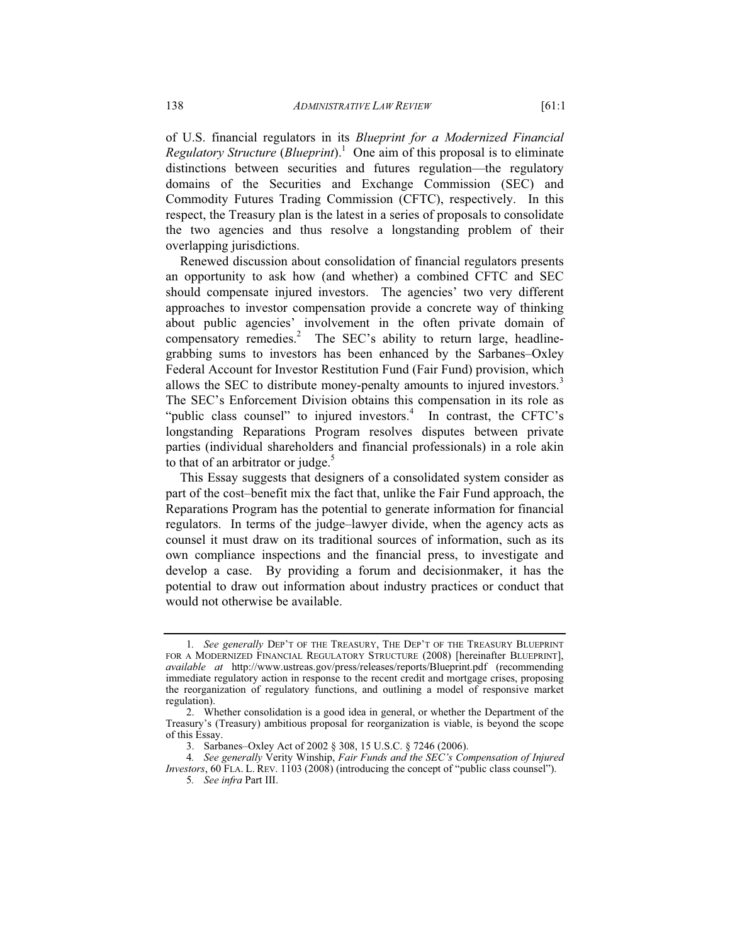of U.S. financial regulators in its *Blueprint for a Modernized Financial Regulatory Structure* (*Blueprint*).1 One aim of this proposal is to eliminate distinctions between securities and futures regulation—the regulatory domains of the Securities and Exchange Commission (SEC) and Commodity Futures Trading Commission (CFTC), respectively. In this respect, the Treasury plan is the latest in a series of proposals to consolidate the two agencies and thus resolve a longstanding problem of their overlapping jurisdictions.

Renewed discussion about consolidation of financial regulators presents an opportunity to ask how (and whether) a combined CFTC and SEC should compensate injured investors. The agencies' two very different approaches to investor compensation provide a concrete way of thinking about public agencies' involvement in the often private domain of compensatory remedies.<sup>2</sup> The SEC's ability to return large, headlinegrabbing sums to investors has been enhanced by the Sarbanes–Oxley Federal Account for Investor Restitution Fund (Fair Fund) provision, which allows the SEC to distribute money-penalty amounts to injured investors.<sup>3</sup> The SEC's Enforcement Division obtains this compensation in its role as "public class counsel" to injured investors. $4$  In contrast, the CFTC's longstanding Reparations Program resolves disputes between private parties (individual shareholders and financial professionals) in a role akin to that of an arbitrator or judge. $5$ 

This Essay suggests that designers of a consolidated system consider as part of the cost–benefit mix the fact that, unlike the Fair Fund approach, the Reparations Program has the potential to generate information for financial regulators. In terms of the judge–lawyer divide, when the agency acts as counsel it must draw on its traditional sources of information, such as its own compliance inspections and the financial press, to investigate and develop a case. By providing a forum and decisionmaker, it has the potential to draw out information about industry practices or conduct that would not otherwise be available.

<sup>1</sup>*. See generally* DEP'T OF THE TREASURY, THE DEP'T OF THE TREASURY BLUEPRINT FOR A MODERNIZED FINANCIAL REGULATORY STRUCTURE (2008) [hereinafter BLUEPRINT], *available at* http://www.ustreas.gov/press/releases/reports/Blueprint.pdf (recommending immediate regulatory action in response to the recent credit and mortgage crises, proposing the reorganization of regulatory functions, and outlining a model of responsive market regulation).

 <sup>2.</sup> Whether consolidation is a good idea in general, or whether the Department of the Treasury's (Treasury) ambitious proposal for reorganization is viable, is beyond the scope of this Essay.

 <sup>3.</sup> Sarbanes–Oxley Act of 2002 § 308, 15 U.S.C. § 7246 (2006).

<sup>4</sup>*. See generally* Verity Winship, *Fair Funds and the SEC's Compensation of Injured Investors*, 60 FLA. L. REV. 1103 (2008) (introducing the concept of "public class counsel").

<sup>5</sup>*. See infra* Part III.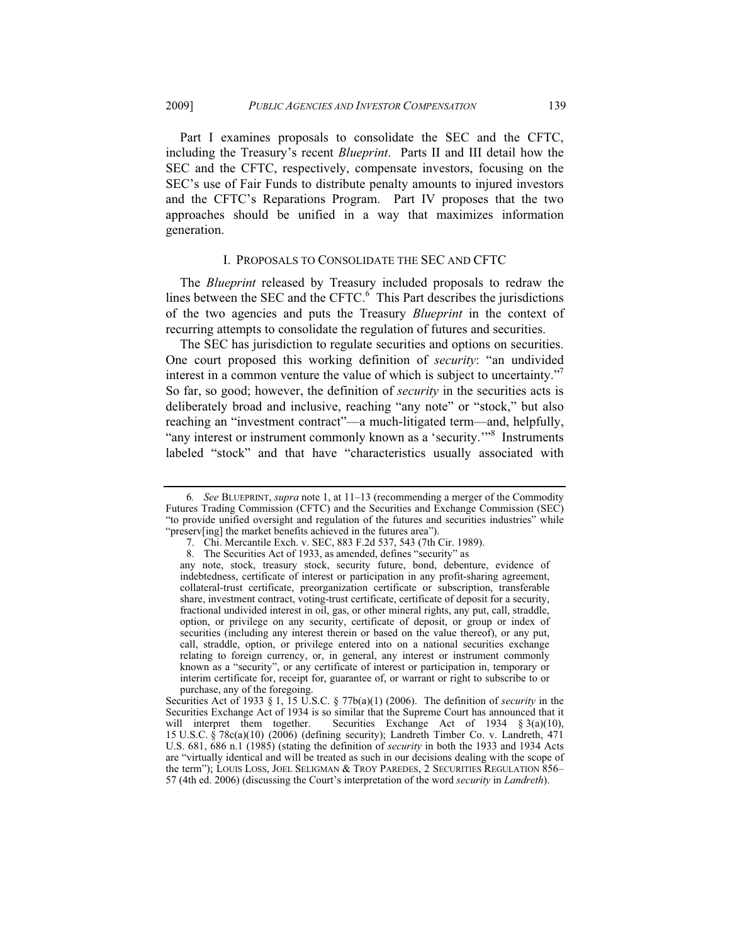Part I examines proposals to consolidate the SEC and the CFTC, including the Treasury's recent *Blueprint*. Parts II and III detail how the SEC and the CFTC, respectively, compensate investors, focusing on the SEC's use of Fair Funds to distribute penalty amounts to injured investors and the CFTC's Reparations Program. Part IV proposes that the two approaches should be unified in a way that maximizes information generation.

## I. PROPOSALS TO CONSOLIDATE THE SEC AND CFTC

The *Blueprint* released by Treasury included proposals to redraw the lines between the SEC and the CFTC. $<sup>6</sup>$  This Part describes the jurisdictions</sup> of the two agencies and puts the Treasury *Blueprint* in the context of recurring attempts to consolidate the regulation of futures and securities.

The SEC has jurisdiction to regulate securities and options on securities. One court proposed this working definition of *security*: "an undivided interest in a common venture the value of which is subject to uncertainty." So far, so good; however, the definition of *security* in the securities acts is deliberately broad and inclusive, reaching "any note" or "stock," but also reaching an "investment contract"—a much-litigated term—and, helpfully, "any interest or instrument commonly known as a 'security."<sup>8</sup> Instruments labeled "stock" and that have "characteristics usually associated with

<sup>6</sup>*. See* BLUEPRINT, *supra* note 1, at 11–13 (recommending a merger of the Commodity Futures Trading Commission (CFTC) and the Securities and Exchange Commission (SEC) "to provide unified oversight and regulation of the futures and securities industries" while "preserv[ing] the market benefits achieved in the futures area").

 <sup>7.</sup> Chi. Mercantile Exch. v. SEC, 883 F.2d 537, 543 (7th Cir. 1989).

 <sup>8.</sup> The Securities Act of 1933, as amended, defines "security" as

any note, stock, treasury stock, security future, bond, debenture, evidence of indebtedness, certificate of interest or participation in any profit-sharing agreement, collateral-trust certificate, preorganization certificate or subscription, transferable share, investment contract, voting-trust certificate, certificate of deposit for a security, fractional undivided interest in oil, gas, or other mineral rights, any put, call, straddle, option, or privilege on any security, certificate of deposit, or group or index of securities (including any interest therein or based on the value thereof), or any put, call, straddle, option, or privilege entered into on a national securities exchange relating to foreign currency, or, in general, any interest or instrument commonly known as a "security", or any certificate of interest or participation in, temporary or interim certificate for, receipt for, guarantee of, or warrant or right to subscribe to or purchase, any of the foregoing.

Securities Act of 1933 § 1, 15 U.S.C. § 77b(a)(1) (2006). The definition of *security* in the Securities Exchange Act of 1934 is so similar that the Supreme Court has announced that it will interpret them together. Securities Exchange Act of 1934  $\S 3(a)(10)$ , Securities Exchange Act of 1934  $§$  3(a)(10), 15 U.S.C. § 78c(a)(10) (2006) (defining security); Landreth Timber Co. v. Landreth, 471 U.S. 681, 686 n.1 (1985) (stating the definition of *security* in both the 1933 and 1934 Acts are "virtually identical and will be treated as such in our decisions dealing with the scope of the term"); LOUIS LOSS, JOEL SELIGMAN & TROY PAREDES, 2 SECURITIES REGULATION 856– 57 (4th ed. 2006) (discussing the Court's interpretation of the word *security* in *Landreth*).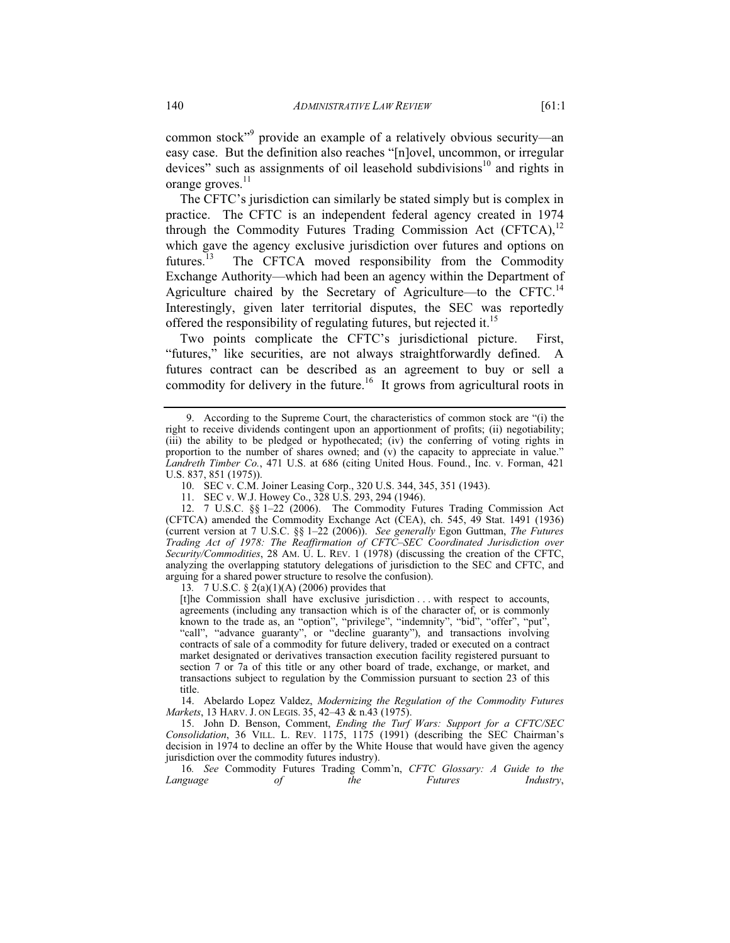common stock"<sup>9</sup> provide an example of a relatively obvious security—an easy case. But the definition also reaches "[n]ovel, uncommon, or irregular devices" such as assignments of oil leasehold subdivisions<sup>10</sup> and rights in orange groves. $^{11}$ 

The CFTC's jurisdiction can similarly be stated simply but is complex in practice. The CFTC is an independent federal agency created in 1974 through the Commodity Futures Trading Commission Act  $(CFTCA)$ ,<sup>12</sup> which gave the agency exclusive jurisdiction over futures and options on futures.<sup>13</sup> The CFTCA moved responsibility from the Commodity The CFTCA moved responsibility from the Commodity Exchange Authority—which had been an agency within the Department of Agriculture chaired by the Secretary of Agriculture—to the CFTC.<sup>14</sup> Interestingly, given later territorial disputes, the SEC was reportedly offered the responsibility of regulating futures, but rejected it.<sup>15</sup>

Two points complicate the CFTC's jurisdictional picture. First, "futures," like securities, are not always straightforwardly defined. A futures contract can be described as an agreement to buy or sell a commodity for delivery in the future.<sup>16</sup> It grows from agricultural roots in

13*.* 7 U.S.C. § 2(a)(1)(A) (2006) provides that

[t]he Commission shall have exclusive jurisdiction . . . with respect to accounts, agreements (including any transaction which is of the character of, or is commonly known to the trade as, an "option", "privilege", "indemnity", "bid", "offer", "put", "call", "advance guaranty", or "decline guaranty"), and transactions involving contracts of sale of a commodity for future delivery, traded or executed on a contract market designated or derivatives transaction execution facility registered pursuant to section 7 or 7a of this title or any other board of trade, exchange, or market, and transactions subject to regulation by the Commission pursuant to section 23 of this title.

 14. Abelardo Lopez Valdez, *Modernizing the Regulation of the Commodity Futures Markets*, 13 HARV. J. ON LEGIS. 35, 42–43 & n.43 (1975).

 15. John D. Benson, Comment, *Ending the Turf Wars: Support for a CFTC/SEC Consolidation*, 36 VILL. L. REV. 1175, 1175 (1991) (describing the SEC Chairman's decision in 1974 to decline an offer by the White House that would have given the agency jurisdiction over the commodity futures industry).

16*. See* Commodity Futures Trading Comm'n, *CFTC Glossary: A Guide to the Language of the Futures Industry*,

 <sup>9.</sup> According to the Supreme Court, the characteristics of common stock are "(i) the right to receive dividends contingent upon an apportionment of profits; (ii) negotiability; (iii) the ability to be pledged or hypothecated; (iv) the conferring of voting rights in proportion to the number of shares owned; and (v) the capacity to appreciate in value." *Landreth Timber Co.*, 471 U.S. at 686 (citing United Hous. Found., Inc. v. Forman, 421 U.S. 837, 851 (1975)).

 <sup>10.</sup> SEC v. C.M. Joiner Leasing Corp., 320 U.S. 344, 345, 351 (1943).

 <sup>11.</sup> SEC v. W.J. Howey Co., 328 U.S. 293, 294 (1946).

 <sup>12. 7</sup> U.S.C. §§ 1–22 (2006). The Commodity Futures Trading Commission Act (CFTCA) amended the Commodity Exchange Act (CEA), ch. 545, 49 Stat. 1491 (1936) (current version at 7 U.S.C. §§ 1–22 (2006)). *See generally* Egon Guttman, *The Futures Trading Act of 1978: The Reaffirmation of CFTC–SEC Coordinated Jurisdiction over Security/Commodities*, 28 AM. U. L. REV. 1 (1978) (discussing the creation of the CFTC, analyzing the overlapping statutory delegations of jurisdiction to the SEC and CFTC, and arguing for a shared power structure to resolve the confusion).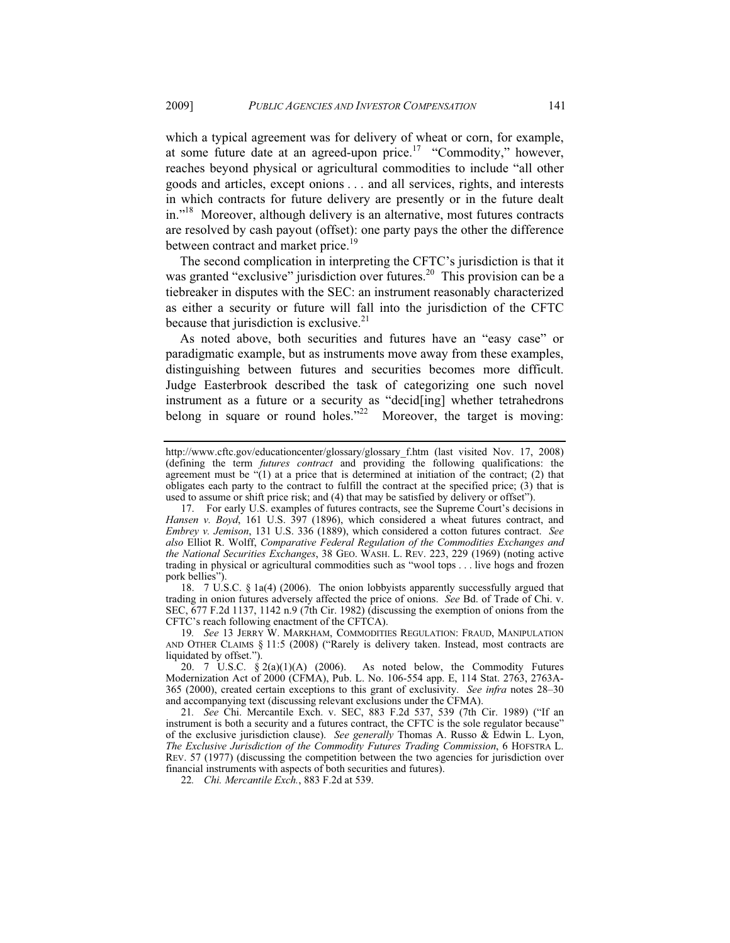which a typical agreement was for delivery of wheat or corn, for example, at some future date at an agreed-upon price.<sup>17</sup> "Commodity," however, reaches beyond physical or agricultural commodities to include "all other goods and articles, except onions . . . and all services, rights, and interests in which contracts for future delivery are presently or in the future dealt in."<sup>18</sup> Moreover, although delivery is an alternative, most futures contracts are resolved by cash payout (offset): one party pays the other the difference between contract and market price.<sup>19</sup>

The second complication in interpreting the CFTC's jurisdiction is that it was granted "exclusive" jurisdiction over futures.<sup>20</sup> This provision can be a tiebreaker in disputes with the SEC: an instrument reasonably characterized as either a security or future will fall into the jurisdiction of the CFTC because that jurisdiction is exclusive. $2<sup>1</sup>$ 

As noted above, both securities and futures have an "easy case" or paradigmatic example, but as instruments move away from these examples, distinguishing between futures and securities becomes more difficult. Judge Easterbrook described the task of categorizing one such novel instrument as a future or a security as "decid[ing] whether tetrahedrons belong in square or round holes."<sup>22</sup> Moreover, the target is moving:

 18. 7 U.S.C. § 1a(4) (2006). The onion lobbyists apparently successfully argued that trading in onion futures adversely affected the price of onions. *See* Bd. of Trade of Chi. v. SEC, 677 F.2d 1137, 1142 n.9 (7th Cir. 1982) (discussing the exemption of onions from the CFTC's reach following enactment of the CFTCA).

19*. See* 13 JERRY W. MARKHAM, COMMODITIES REGULATION: FRAUD, MANIPULATION AND OTHER CLAIMS § 11:5 (2008) ("Rarely is delivery taken. Instead, most contracts are liquidated by offset.").

21*. See* Chi. Mercantile Exch. v. SEC, 883 F.2d 537, 539 (7th Cir. 1989) ("If an instrument is both a security and a futures contract, the CFTC is the sole regulator because" of the exclusive jurisdiction clause). *See generally* Thomas A. Russo & Edwin L. Lyon, *The Exclusive Jurisdiction of the Commodity Futures Trading Commission*, 6 HOFSTRA L. REV. 57 (1977) (discussing the competition between the two agencies for jurisdiction over financial instruments with aspects of both securities and futures).

22*. Chi. Mercantile Exch.*, 883 F.2d at 539.

http://www.cftc.gov/educationcenter/glossary/glossary\_f.htm (last visited Nov. 17, 2008) (defining the term *futures contract* and providing the following qualifications: the agreement must be "(1) at a price that is determined at initiation of the contract; (2) that obligates each party to the contract to fulfill the contract at the specified price; (3) that is used to assume or shift price risk; and (4) that may be satisfied by delivery or offset").

 <sup>17.</sup> For early U.S. examples of futures contracts, see the Supreme Court's decisions in *Hansen v. Boyd*, 161 U.S. 397 (1896), which considered a wheat futures contract, and *Embrey v. Jemison*, 131 U.S. 336 (1889), which considered a cotton futures contract. *See also* Elliot R. Wolff, *Comparative Federal Regulation of the Commodities Exchanges and the National Securities Exchanges*, 38 GEO. WASH. L. REV. 223, 229 (1969) (noting active trading in physical or agricultural commodities such as "wool tops . . . live hogs and frozen pork bellies").

 <sup>20. 7</sup> U.S.C. § 2(a)(1)(A) (2006). As noted below, the Commodity Futures Modernization Act of 2000 (CFMA), Pub. L. No. 106-554 app. E, 114 Stat. 2763, 2763A-365 (2000), created certain exceptions to this grant of exclusivity. *See infra* notes 28–30 and accompanying text (discussing relevant exclusions under the CFMA).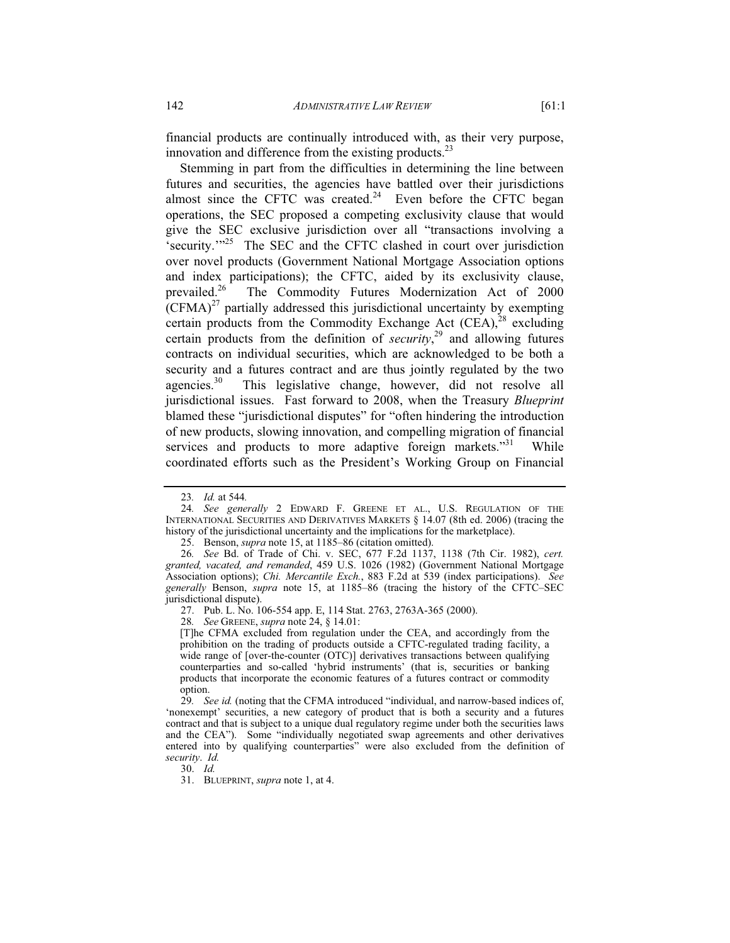financial products are continually introduced with, as their very purpose, innovation and difference from the existing products. $^{23}$ 

Stemming in part from the difficulties in determining the line between futures and securities, the agencies have battled over their jurisdictions almost since the CFTC was created.<sup>24</sup> Even before the CFTC began operations, the SEC proposed a competing exclusivity clause that would give the SEC exclusive jurisdiction over all "transactions involving a 'security.'"25 The SEC and the CFTC clashed in court over jurisdiction over novel products (Government National Mortgage Association options and index participations); the CFTC, aided by its exclusivity clause, prevailed.<sup>26</sup> The Commodity Futures Modernization Act of 2000 The Commodity Futures Modernization Act of 2000  $(CFMA)^{27}$  partially addressed this jurisdictional uncertainty by exempting certain products from the Commodity Exchange Act  $(CEA)$ ,<sup>28</sup> excluding certain products from the definition of *security*, 29 and allowing futures contracts on individual securities, which are acknowledged to be both a security and a futures contract and are thus jointly regulated by the two agencies.<sup>30</sup> This legislative change, however, did not resolve all This legislative change, however, did not resolve all jurisdictional issues. Fast forward to 2008, when the Treasury *Blueprint* blamed these "jurisdictional disputes" for "often hindering the introduction of new products, slowing innovation, and compelling migration of financial services and products to more adaptive foreign markets."<sup>31</sup> While coordinated efforts such as the President's Working Group on Financial

28*. See* GREENE, *supra* note 24, § 14.01:

[T]he CFMA excluded from regulation under the CEA, and accordingly from the prohibition on the trading of products outside a CFTC-regulated trading facility, a wide range of [over-the-counter (OTC)] derivatives transactions between qualifying counterparties and so-called 'hybrid instruments' (that is, securities or banking products that incorporate the economic features of a futures contract or commodity option.

29*. See id.* (noting that the CFMA introduced "individual, and narrow-based indices of, 'nonexempt' securities, a new category of product that is both a security and a futures contract and that is subject to a unique dual regulatory regime under both the securities laws and the CEA"). Some "individually negotiated swap agreements and other derivatives entered into by qualifying counterparties" were also excluded from the definition of *security*. *Id.*

30. *Id.*

31. BLUEPRINT, *supra* note 1, at 4.

<sup>23</sup>*. Id.* at 544*.*

<sup>24</sup>*. See generally* 2 EDWARD F. GREENE ET AL., U.S. REGULATION OF THE INTERNATIONAL SECURITIES AND DERIVATIVES MARKETS § 14.07 (8th ed. 2006) (tracing the history of the jurisdictional uncertainty and the implications for the marketplace).

 <sup>25.</sup> Benson, *supra* note 15, at 1185–86 (citation omitted).

<sup>26</sup>*. See* Bd. of Trade of Chi. v. SEC, 677 F.2d 1137, 1138 (7th Cir. 1982), *cert. granted, vacated, and remanded*, 459 U.S. 1026 (1982) (Government National Mortgage Association options); *Chi. Mercantile Exch.*, 883 F.2d at 539 (index participations). *See generally* Benson, *supra* note 15, at 1185–86 (tracing the history of the CFTC–SEC jurisdictional dispute).

 <sup>27.</sup> Pub. L. No. 106-554 app. E, 114 Stat. 2763, 2763A-365 (2000).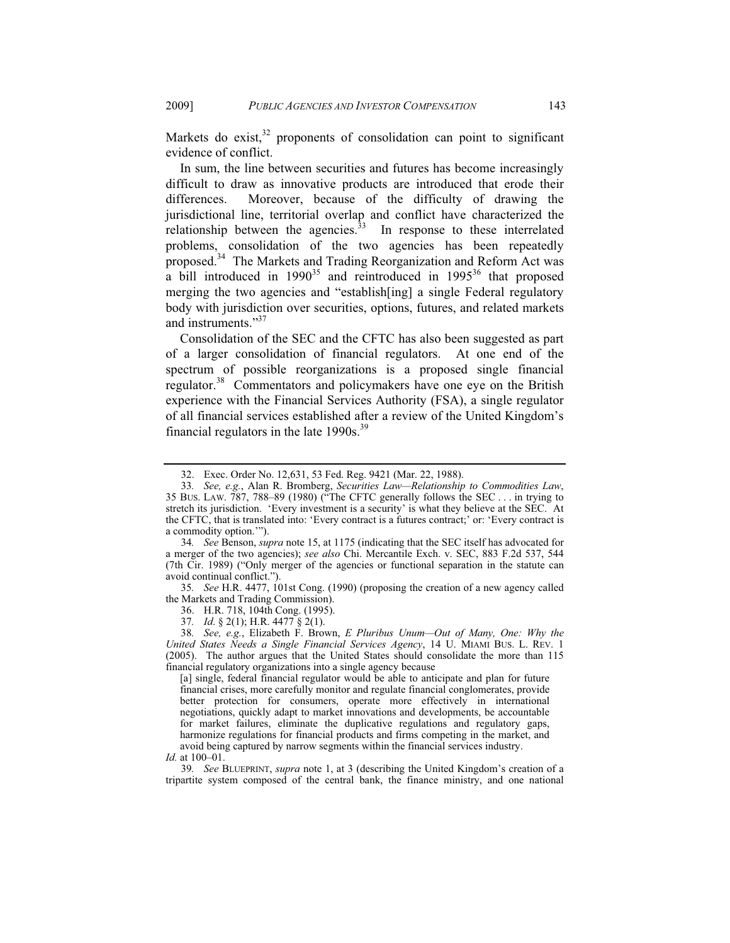Markets do exist, $32$  proponents of consolidation can point to significant evidence of conflict.

In sum, the line between securities and futures has become increasingly difficult to draw as innovative products are introduced that erode their differences. Moreover, because of the difficulty of drawing the jurisdictional line, territorial overlap and conflict have characterized the relationship between the agencies. $33$  In response to these interrelated problems, consolidation of the two agencies has been repeatedly proposed.<sup>34</sup> The Markets and Trading Reorganization and Reform Act was a bill introduced in  $1990^{35}$  and reintroduced in  $1995^{36}$  that proposed merging the two agencies and "establish[ing] a single Federal regulatory body with jurisdiction over securities, options, futures, and related markets and instruments."<sup>37</sup>

Consolidation of the SEC and the CFTC has also been suggested as part of a larger consolidation of financial regulators. At one end of the spectrum of possible reorganizations is a proposed single financial regulator.<sup>38</sup> Commentators and policymakers have one eye on the British experience with the Financial Services Authority (FSA), a single regulator of all financial services established after a review of the United Kingdom's financial regulators in the late  $1990s.^{39}$ 

35*. See* H.R. 4477, 101st Cong. (1990) (proposing the creation of a new agency called the Markets and Trading Commission).

36. H.R. 718, 104th Cong. (1995).

37*. Id*. § 2(1); H.R. 4477 § 2(1).

[a] single, federal financial regulator would be able to anticipate and plan for future financial crises, more carefully monitor and regulate financial conglomerates, provide better protection for consumers, operate more effectively in international negotiations, quickly adapt to market innovations and developments, be accountable for market failures, eliminate the duplicative regulations and regulatory gaps, harmonize regulations for financial products and firms competing in the market, and avoid being captured by narrow segments within the financial services industry. *Id.* at 100–01.

39*. See* BLUEPRINT, *supra* note 1, at 3 (describing the United Kingdom's creation of a tripartite system composed of the central bank, the finance ministry, and one national

 <sup>32.</sup> Exec. Order No. 12,631, 53 Fed. Reg. 9421 (Mar. 22, 1988).

<sup>33</sup>*. See, e.g.*, Alan R. Bromberg, *Securities Law—Relationship to Commodities Law*, 35 BUS. LAW. 787, 788–89 (1980) ("The CFTC generally follows the SEC . . . in trying to stretch its jurisdiction. 'Every investment is a security' is what they believe at the SEC. At the CFTC, that is translated into: 'Every contract is a futures contract;' or: 'Every contract is a commodity option.'").

<sup>34</sup>*. See* Benson, *supra* note 15, at 1175 (indicating that the SEC itself has advocated for a merger of the two agencies); *see also* Chi. Mercantile Exch. v. SEC, 883 F.2d 537, 544 (7th Cir. 1989) ("Only merger of the agencies or functional separation in the statute can avoid continual conflict.").

<sup>38</sup>*. See, e.g.*, Elizabeth F. Brown, *E Pluribus Unum—Out of Many, One: Why the United States Needs a Single Financial Services Agency*, 14 U. MIAMI BUS. L. REV. 1 (2005). The author argues that the United States should consolidate the more than 115 financial regulatory organizations into a single agency because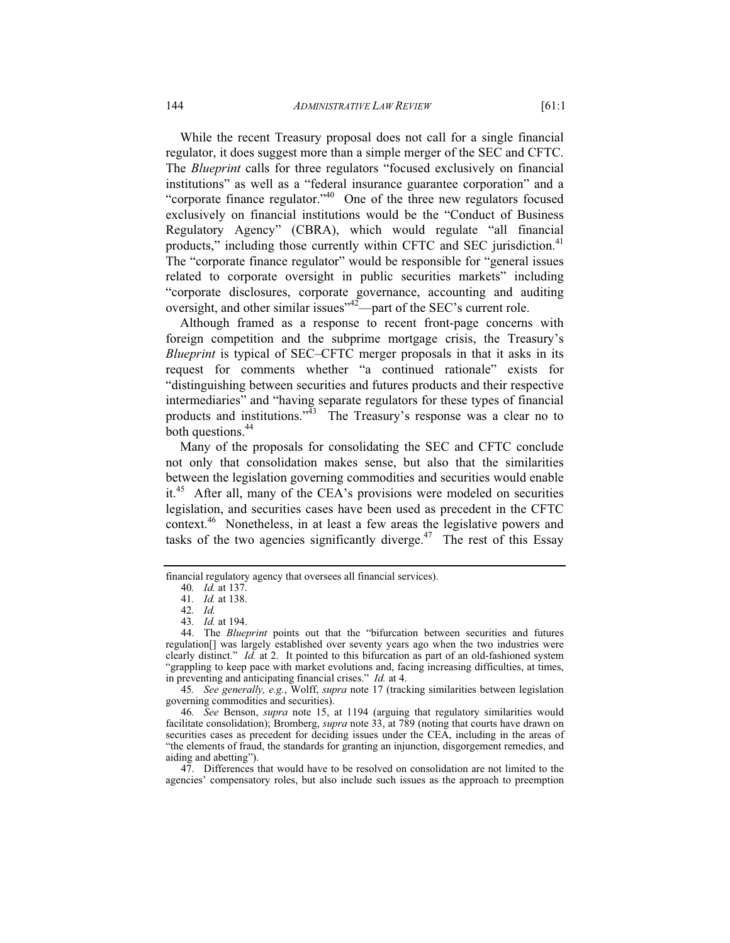While the recent Treasury proposal does not call for a single financial regulator, it does suggest more than a simple merger of the SEC and CFTC. The *Blueprint* calls for three regulators "focused exclusively on financial institutions" as well as a "federal insurance guarantee corporation" and a "corporate finance regulator."40 One of the three new regulators focused exclusively on financial institutions would be the "Conduct of Business Regulatory Agency" (CBRA), which would regulate "all financial products," including those currently within CFTC and SEC jurisdiction.<sup>41</sup> The "corporate finance regulator" would be responsible for "general issues related to corporate oversight in public securities markets" including "corporate disclosures, corporate governance, accounting and auditing oversight, and other similar issues<sup>"42</sup>—part of the SEC's current role.

Although framed as a response to recent front-page concerns with foreign competition and the subprime mortgage crisis, the Treasury's *Blueprint* is typical of SEC–CFTC merger proposals in that it asks in its request for comments whether "a continued rationale" exists for "distinguishing between securities and futures products and their respective intermediaries" and "having separate regulators for these types of financial products and institutions.<sup>343</sup> The Treasury's response was a clear no to both questions.<sup>44</sup>

Many of the proposals for consolidating the SEC and CFTC conclude not only that consolidation makes sense, but also that the similarities between the legislation governing commodities and securities would enable it.<sup>45</sup> After all, many of the CEA's provisions were modeled on securities legislation, and securities cases have been used as precedent in the CFTC context.46 Nonetheless, in at least a few areas the legislative powers and tasks of the two agencies significantly diverge.<sup>47</sup> The rest of this Essay

financial regulatory agency that oversees all financial services).

<sup>40</sup>*. Id.* at 137.

<sup>41</sup>*. Id.* at 138.

<sup>42</sup>*. Id.*

<sup>43</sup>*. Id.* at 194.

 <sup>44.</sup> The *Blueprint* points out that the "bifurcation between securities and futures regulation[] was largely established over seventy years ago when the two industries were clearly distinct." *Id.* at 2. It pointed to this bifurcation as part of an old-fashioned system "grappling to keep pace with market evolutions and, facing increasing difficulties, at times, in preventing and anticipating financial crises." *Id.* at 4.

<sup>45</sup>*. See generally, e.g.*, Wolff, *supra* note 17 (tracking similarities between legislation governing commodities and securities).

<sup>46</sup>*. See* Benson, *supra* note 15, at 1194 (arguing that regulatory similarities would facilitate consolidation); Bromberg, *supra* note 33, at 789 (noting that courts have drawn on securities cases as precedent for deciding issues under the CEA, including in the areas of "the elements of fraud, the standards for granting an injunction, disgorgement remedies, and aiding and abetting").

 <sup>47.</sup> Differences that would have to be resolved on consolidation are not limited to the agencies' compensatory roles, but also include such issues as the approach to preemption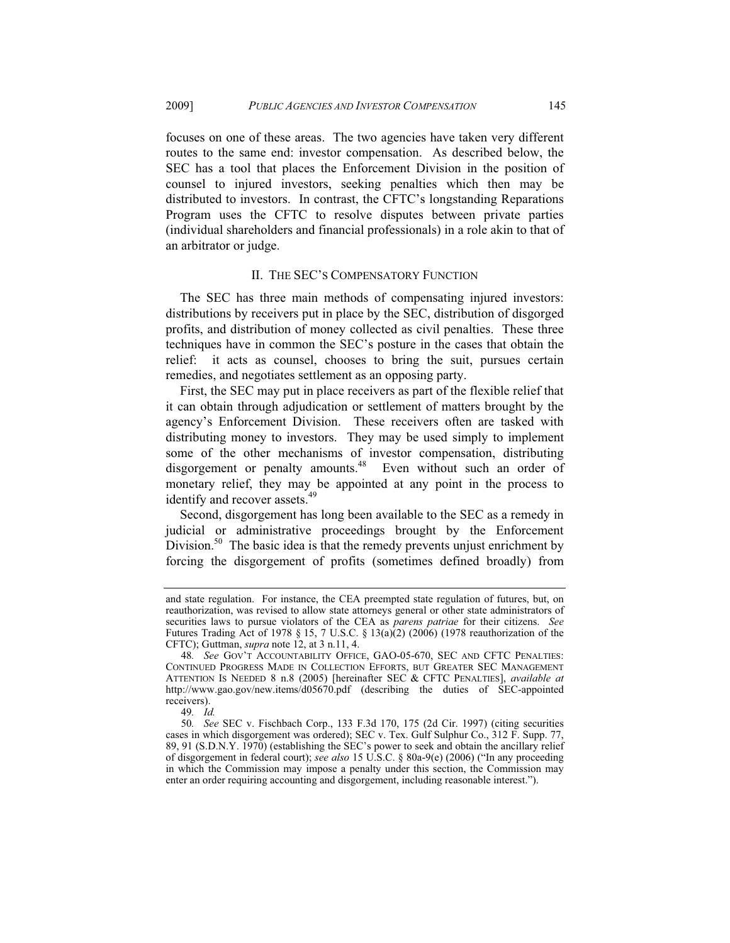focuses on one of these areas. The two agencies have taken very different routes to the same end: investor compensation. As described below, the SEC has a tool that places the Enforcement Division in the position of counsel to injured investors, seeking penalties which then may be distributed to investors. In contrast, the CFTC's longstanding Reparations Program uses the CFTC to resolve disputes between private parties (individual shareholders and financial professionals) in a role akin to that of an arbitrator or judge.

#### II. THE SEC'S COMPENSATORY FUNCTION

The SEC has three main methods of compensating injured investors: distributions by receivers put in place by the SEC, distribution of disgorged profits, and distribution of money collected as civil penalties. These three techniques have in common the SEC's posture in the cases that obtain the relief: it acts as counsel, chooses to bring the suit, pursues certain remedies, and negotiates settlement as an opposing party.

First, the SEC may put in place receivers as part of the flexible relief that it can obtain through adjudication or settlement of matters brought by the agency's Enforcement Division. These receivers often are tasked with distributing money to investors. They may be used simply to implement some of the other mechanisms of investor compensation, distributing disgorgement or penalty amounts.<sup>48</sup> Even without such an order of monetary relief, they may be appointed at any point in the process to identify and recover assets.<sup>49</sup>

Second, disgorgement has long been available to the SEC as a remedy in judicial or administrative proceedings brought by the Enforcement Division.<sup>50</sup> The basic idea is that the remedy prevents unjust enrichment by forcing the disgorgement of profits (sometimes defined broadly) from

and state regulation. For instance, the CEA preempted state regulation of futures, but, on reauthorization, was revised to allow state attorneys general or other state administrators of securities laws to pursue violators of the CEA as *parens patriae* for their citizens. *See* Futures Trading Act of 1978 § 15, 7 U.S.C. § 13(a)(2) (2006) (1978 reauthorization of the CFTC); Guttman, *supra* note 12, at 3 n.11, 4.

<sup>48</sup>*. See* GOV'T ACCOUNTABILITY OFFICE, GAO-05-670, SEC AND CFTC PENALTIES: CONTINUED PROGRESS MADE IN COLLECTION EFFORTS, BUT GREATER SEC MANAGEMENT ATTENTION IS NEEDED 8 n.8 (2005) [hereinafter SEC & CFTC PENALTIES], *available at* http://www.gao.gov/new.items/d05670.pdf (describing the duties of SEC-appointed receivers).

<sup>49</sup>*. Id.*

<sup>50</sup>*. See* SEC v. Fischbach Corp., 133 F.3d 170, 175 (2d Cir. 1997) (citing securities cases in which disgorgement was ordered); SEC v. Tex. Gulf Sulphur Co., 312 F. Supp. 77, 89, 91 (S.D.N.Y. 1970) (establishing the SEC's power to seek and obtain the ancillary relief of disgorgement in federal court); *see also* 15 U.S.C. § 80a-9(e) (2006) ("In any proceeding in which the Commission may impose a penalty under this section, the Commission may enter an order requiring accounting and disgorgement, including reasonable interest.").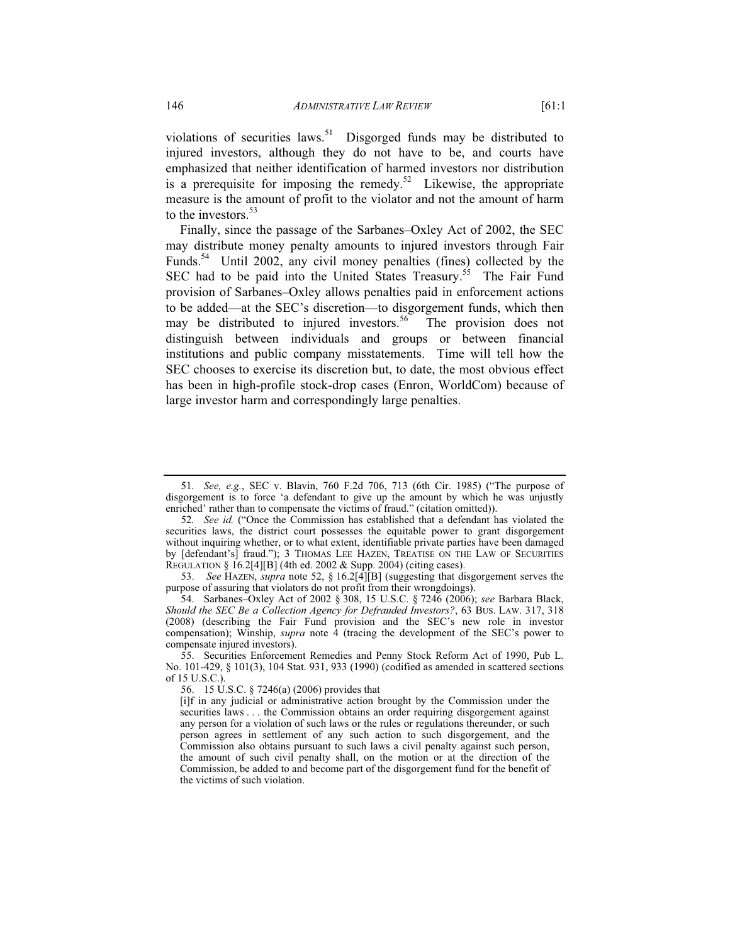violations of securities laws.<sup>51</sup> Disgorged funds may be distributed to injured investors, although they do not have to be, and courts have emphasized that neither identification of harmed investors nor distribution is a prerequisite for imposing the remedy.<sup>52</sup> Likewise, the appropriate measure is the amount of profit to the violator and not the amount of harm to the investors.<sup>53</sup>

Finally, since the passage of the Sarbanes–Oxley Act of 2002, the SEC may distribute money penalty amounts to injured investors through Fair Funds.<sup>54</sup> Until 2002, any civil money penalties (fines) collected by the SEC had to be paid into the United States Treasury.<sup>55</sup> The Fair Fund provision of Sarbanes–Oxley allows penalties paid in enforcement actions to be added—at the SEC's discretion—to disgorgement funds, which then may be distributed to injured investors.<sup>56</sup> The provision does not distinguish between individuals and groups or between financial institutions and public company misstatements. Time will tell how the SEC chooses to exercise its discretion but, to date, the most obvious effect has been in high-profile stock-drop cases (Enron, WorldCom) because of large investor harm and correspondingly large penalties.

<sup>51</sup>*. See, e.g.*, SEC v. Blavin, 760 F.2d 706, 713 (6th Cir. 1985) ("The purpose of disgorgement is to force 'a defendant to give up the amount by which he was unjustly enriched' rather than to compensate the victims of fraud." (citation omitted)).

<sup>52</sup>*. See id.* ("Once the Commission has established that a defendant has violated the securities laws, the district court possesses the equitable power to grant disgorgement without inquiring whether, or to what extent, identifiable private parties have been damaged by [defendant's] fraud."); 3 THOMAS LEE HAZEN, TREATISE ON THE LAW OF SECURITIES REGULATION § 16.2[4][B] (4th ed. 2002 & Supp. 2004) (citing cases).

 <sup>53.</sup> *See* HAZEN, *supra* note 52, § 16.2[4][B] (suggesting that disgorgement serves the purpose of assuring that violators do not profit from their wrongdoings).

 <sup>54.</sup> Sarbanes–Oxley Act of 2002 § 308, 15 U.S.C. § 7246 (2006); *see* Barbara Black, *Should the SEC Be a Collection Agency for Defrauded Investors?*, 63 BUS. LAW. 317, 318 (2008) (describing the Fair Fund provision and the SEC's new role in investor compensation); Winship, *supra* note 4 (tracing the development of the SEC's power to compensate injured investors).

 <sup>55.</sup> Securities Enforcement Remedies and Penny Stock Reform Act of 1990, Pub L. No. 101-429, § 101(3), 104 Stat. 931, 933 (1990) (codified as amended in scattered sections of 15 U.S.C.).

 <sup>56. 15</sup> U.S.C. § 7246(a) (2006) provides that

<sup>[</sup>i]f in any judicial or administrative action brought by the Commission under the securities laws . . . the Commission obtains an order requiring disgorgement against any person for a violation of such laws or the rules or regulations thereunder, or such person agrees in settlement of any such action to such disgorgement, and the Commission also obtains pursuant to such laws a civil penalty against such person, the amount of such civil penalty shall, on the motion or at the direction of the Commission, be added to and become part of the disgorgement fund for the benefit of the victims of such violation.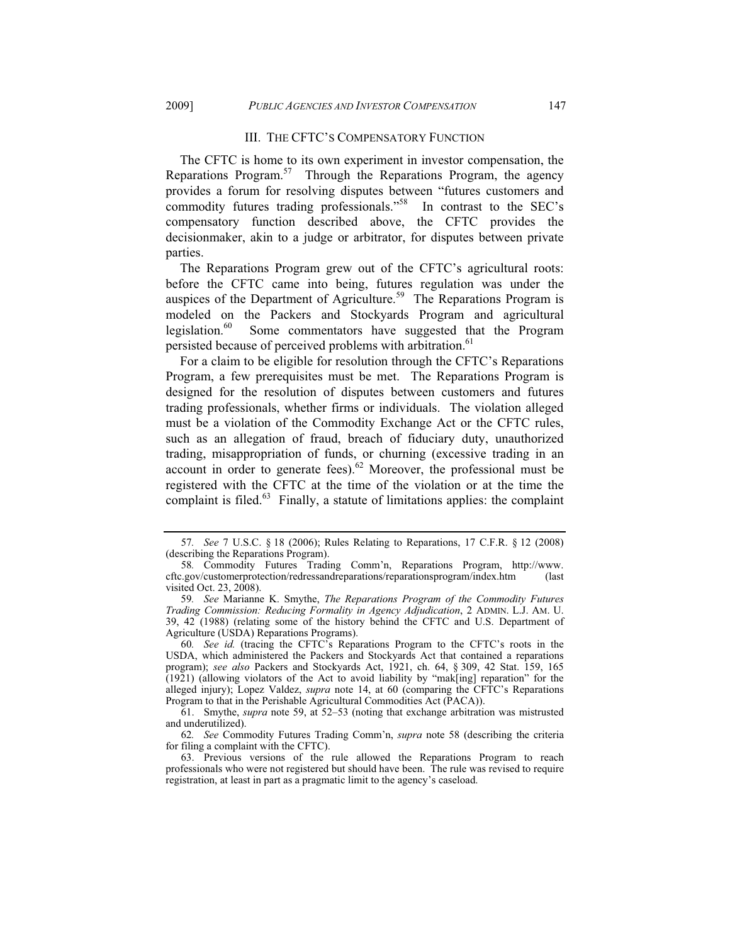#### III. THE CFTC'S COMPENSATORY FUNCTION

The CFTC is home to its own experiment in investor compensation, the Reparations Program.<sup>57</sup> Through the Reparations Program, the agency provides a forum for resolving disputes between "futures customers and commodity futures trading professionals."58 In contrast to the SEC's compensatory function described above, the CFTC provides the decisionmaker, akin to a judge or arbitrator, for disputes between private parties.

The Reparations Program grew out of the CFTC's agricultural roots: before the CFTC came into being, futures regulation was under the auspices of the Department of Agriculture.<sup>59</sup> The Reparations Program is modeled on the Packers and Stockyards Program and agricultural legislation.<sup>60</sup> Some commentators have suggested that the Program persisted because of perceived problems with arbitration.<sup>61</sup>

For a claim to be eligible for resolution through the CFTC's Reparations Program, a few prerequisites must be met. The Reparations Program is designed for the resolution of disputes between customers and futures trading professionals, whether firms or individuals. The violation alleged must be a violation of the Commodity Exchange Act or the CFTC rules, such as an allegation of fraud, breach of fiduciary duty, unauthorized trading, misappropriation of funds, or churning (excessive trading in an account in order to generate fees).<sup>62</sup> Moreover, the professional must be registered with the CFTC at the time of the violation or at the time the complaint is filed. $63$  Finally, a statute of limitations applies: the complaint

<sup>57</sup>*. See* 7 U.S.C. § 18 (2006); Rules Relating to Reparations, 17 C.F.R. § 12 (2008) (describing the Reparations Program).

<sup>58</sup>*.* Commodity Futures Trading Comm'n, Reparations Program, http://www. cftc.gov/customerprotection/redressandreparations/reparationsprogram/index.htm (last visited Oct. 23, 2008).

<sup>59</sup>*. See* Marianne K. Smythe, *The Reparations Program of the Commodity Futures Trading Commission: Reducing Formality in Agency Adjudication*, 2 ADMIN. L.J. AM. U. 39, 42 (1988) (relating some of the history behind the CFTC and U.S. Department of Agriculture (USDA) Reparations Programs).

<sup>60</sup>*. See id.* (tracing the CFTC's Reparations Program to the CFTC's roots in the USDA, which administered the Packers and Stockyards Act that contained a reparations program); *see also* Packers and Stockyards Act, 1921, ch. 64, § 309, 42 Stat. 159, 165 (1921) (allowing violators of the Act to avoid liability by "mak[ing] reparation" for the alleged injury); Lopez Valdez, *supra* note 14, at 60 (comparing the CFTC's Reparations Program to that in the Perishable Agricultural Commodities Act (PACA)).

 <sup>61.</sup> Smythe, *supra* note 59, at 52–53 (noting that exchange arbitration was mistrusted and underutilized).

<sup>62</sup>*. See* Commodity Futures Trading Comm'n, *supra* note 58 (describing the criteria for filing a complaint with the CFTC).

 <sup>63.</sup> Previous versions of the rule allowed the Reparations Program to reach professionals who were not registered but should have been. The rule was revised to require registration, at least in part as a pragmatic limit to the agency's caseload.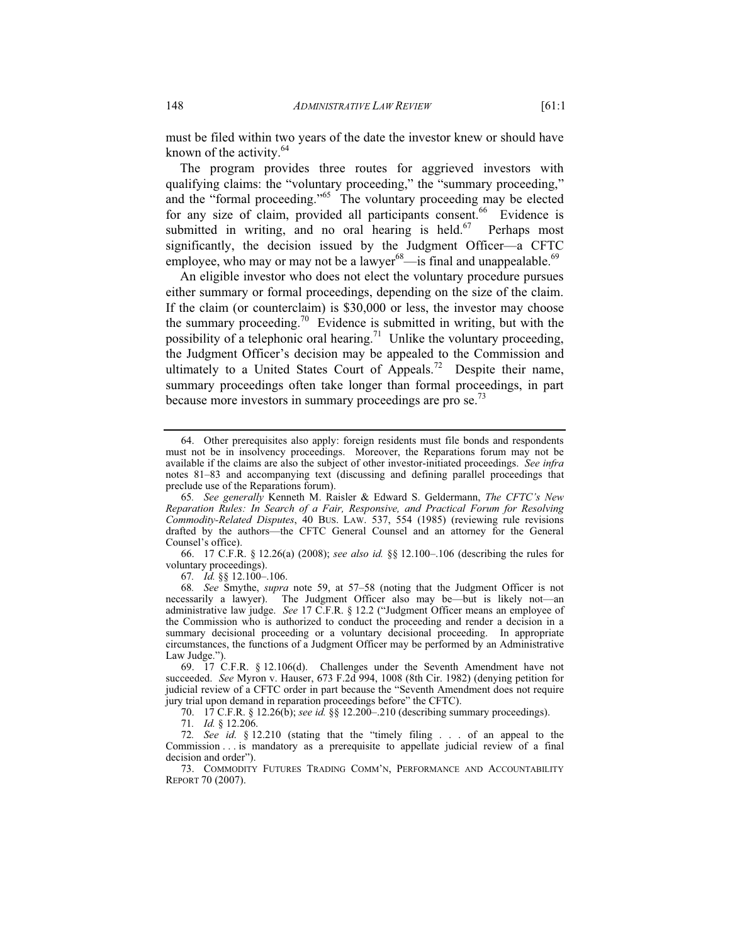must be filed within two years of the date the investor knew or should have known of the activity. $64$ 

The program provides three routes for aggrieved investors with qualifying claims: the "voluntary proceeding," the "summary proceeding," and the "formal proceeding."65 The voluntary proceeding may be elected for any size of claim, provided all participants consent.<sup>66</sup> Evidence is submitted in writing, and no oral hearing is held. $67$  Perhaps most significantly, the decision issued by the Judgment Officer—a CFTC employee, who may or may not be a lawyer $^{68}$ —is final and unappealable.<sup>69</sup>

An eligible investor who does not elect the voluntary procedure pursues either summary or formal proceedings, depending on the size of the claim. If the claim (or counterclaim) is \$30,000 or less, the investor may choose the summary proceeding.70 Evidence is submitted in writing, but with the possibility of a telephonic oral hearing.<sup>71</sup> Unlike the voluntary proceeding, the Judgment Officer's decision may be appealed to the Commission and ultimately to a United States Court of Appeals.<sup>72</sup> Despite their name, summary proceedings often take longer than formal proceedings, in part because more investors in summary proceedings are pro se.<sup>73</sup>

 66. 17 C.F.R. § 12.26(a) (2008); *see also id.* §§ 12.100–.106 (describing the rules for voluntary proceedings).

67*. Id.* §§ 12.100–.106.

68*. See* Smythe, *supra* note 59, at 57–58 (noting that the Judgment Officer is not necessarily a lawyer). The Judgment Officer also may be—but is likely not—an administrative law judge. *See* 17 C.F.R. § 12.2 ("Judgment Officer means an employee of the Commission who is authorized to conduct the proceeding and render a decision in a summary decisional proceeding or a voluntary decisional proceeding. In appropriate circumstances, the functions of a Judgment Officer may be performed by an Administrative Law Judge.").

70. 17 C.F.R. § 12.26(b); *see id.* §§ 12.200–.210 (describing summary proceedings).

71*. Id.* § 12.206.

72*. See id*. § 12.210 (stating that the "timely filing . . . of an appeal to the Commission . . . is mandatory as a prerequisite to appellate judicial review of a final decision and order").

 73. COMMODITY FUTURES TRADING COMM'N, PERFORMANCE AND ACCOUNTABILITY REPORT 70 (2007).

 <sup>64.</sup> Other prerequisites also apply: foreign residents must file bonds and respondents must not be in insolvency proceedings. Moreover, the Reparations forum may not be available if the claims are also the subject of other investor-initiated proceedings. *See infra* notes 81–83 and accompanying text (discussing and defining parallel proceedings that preclude use of the Reparations forum).

<sup>65</sup>*. See generally* Kenneth M. Raisler & Edward S. Geldermann, *The CFTC's New Reparation Rules: In Search of a Fair, Responsive, and Practical Forum for Resolving Commodity-Related Disputes*, 40 BUS. LAW. 537, 554 (1985) (reviewing rule revisions drafted by the authors—the CFTC General Counsel and an attorney for the General Counsel's office).

 <sup>69. 17</sup> C.F.R. § 12.106(d). Challenges under the Seventh Amendment have not succeeded. *See* Myron v. Hauser, 673 F.2d 994, 1008 (8th Cir. 1982) (denying petition for judicial review of a CFTC order in part because the "Seventh Amendment does not require jury trial upon demand in reparation proceedings before" the CFTC).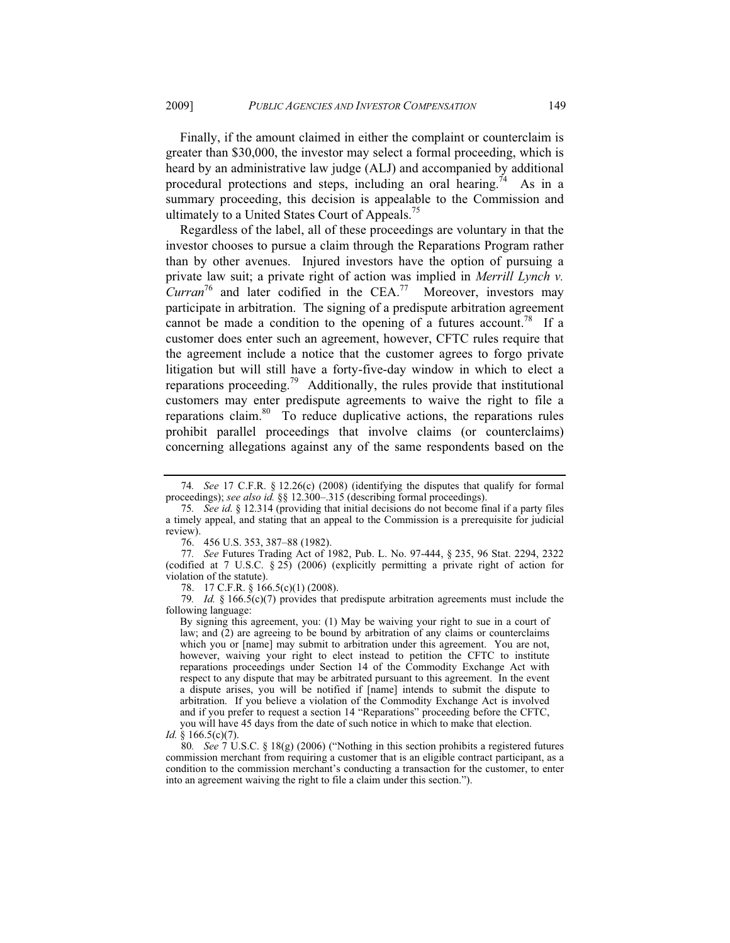Finally, if the amount claimed in either the complaint or counterclaim is greater than \$30,000, the investor may select a formal proceeding, which is heard by an administrative law judge (ALJ) and accompanied by additional procedural protections and steps, including an oral hearing.<sup>74</sup> As in a summary proceeding, this decision is appealable to the Commission and ultimately to a United States Court of Appeals.<sup>75</sup>

Regardless of the label, all of these proceedings are voluntary in that the investor chooses to pursue a claim through the Reparations Program rather than by other avenues. Injured investors have the option of pursuing a private law suit; a private right of action was implied in *Merrill Lynch v. Curran*76 and later codified in the CEA.77 Moreover, investors may participate in arbitration. The signing of a predispute arbitration agreement cannot be made a condition to the opening of a futures account.<sup>78</sup> If a customer does enter such an agreement, however, CFTC rules require that the agreement include a notice that the customer agrees to forgo private litigation but will still have a forty-five-day window in which to elect a reparations proceeding.<sup>79</sup> Additionally, the rules provide that institutional customers may enter predispute agreements to waive the right to file a reparations claim. $80$  To reduce duplicative actions, the reparations rules prohibit parallel proceedings that involve claims (or counterclaims) concerning allegations against any of the same respondents based on the

76. 456 U.S. 353, 387–88 (1982).

78. 17 C.F.R. § 166.5(c)(1) (2008).

79*. Id.* § 166.5(c)(7) provides that predispute arbitration agreements must include the following language:

By signing this agreement, you: (1) May be waiving your right to sue in a court of law; and (2) are agreeing to be bound by arbitration of any claims or counterclaims which you or [name] may submit to arbitration under this agreement. You are not, however, waiving your right to elect instead to petition the CFTC to institute reparations proceedings under Section 14 of the Commodity Exchange Act with respect to any dispute that may be arbitrated pursuant to this agreement. In the event a dispute arises, you will be notified if [name] intends to submit the dispute to arbitration. If you believe a violation of the Commodity Exchange Act is involved and if you prefer to request a section 14 "Reparations" proceeding before the CFTC, you will have 45 days from the date of such notice in which to make that election.

80*. See* 7 U.S.C. § 18(g) (2006) ("Nothing in this section prohibits a registered futures commission merchant from requiring a customer that is an eligible contract participant, as a condition to the commission merchant's conducting a transaction for the customer, to enter into an agreement waiving the right to file a claim under this section.").

<sup>74</sup>*. See* 17 C.F.R. § 12.26(c) (2008) (identifying the disputes that qualify for formal proceedings); *see also id.* §§ 12.300–.315 (describing formal proceedings).

<sup>75</sup>*. See id*. § 12.314 (providing that initial decisions do not become final if a party files a timely appeal, and stating that an appeal to the Commission is a prerequisite for judicial review).

<sup>77</sup>*. See* Futures Trading Act of 1982, Pub. L. No. 97-444, § 235, 96 Stat. 2294, 2322 (codified at 7 U.S.C. § 25) (2006) (explicitly permitting a private right of action for violation of the statute).

*Id.* § 166.5(c)(7).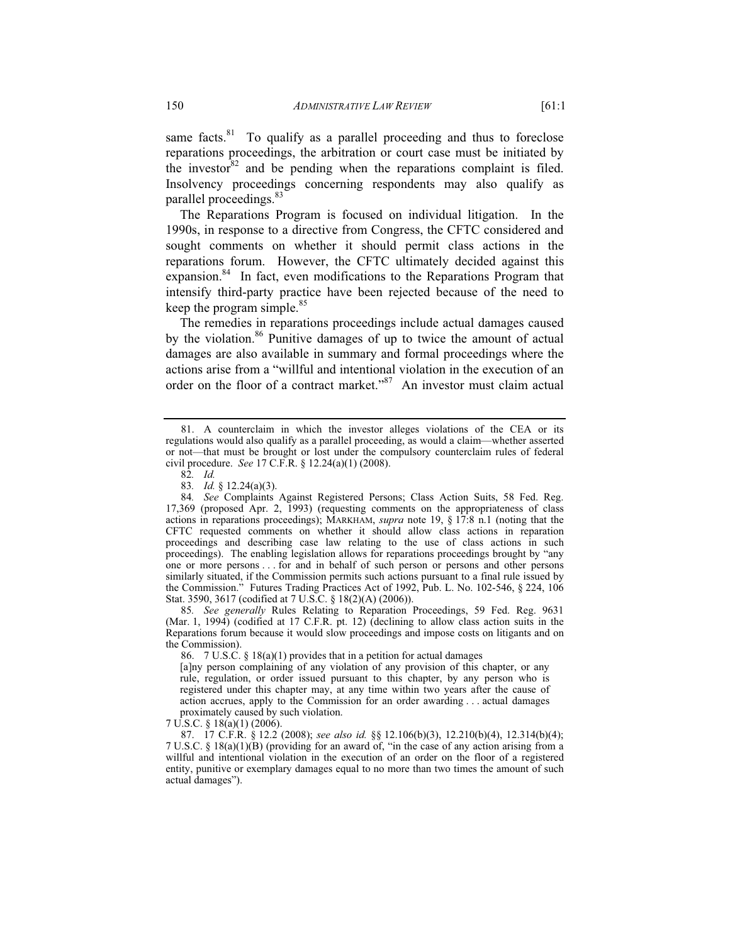same facts. $81$  To qualify as a parallel proceeding and thus to foreclose reparations proceedings, the arbitration or court case must be initiated by the investor  $82$  and be pending when the reparations complaint is filed. Insolvency proceedings concerning respondents may also qualify as parallel proceedings.<sup>83</sup>

The Reparations Program is focused on individual litigation. In the 1990s, in response to a directive from Congress, the CFTC considered and sought comments on whether it should permit class actions in the reparations forum. However, the CFTC ultimately decided against this expansion.<sup>84</sup> In fact, even modifications to the Reparations Program that intensify third-party practice have been rejected because of the need to keep the program simple. $85$ 

The remedies in reparations proceedings include actual damages caused by the violation.<sup>86</sup> Punitive damages of up to twice the amount of actual damages are also available in summary and formal proceedings where the actions arise from a "willful and intentional violation in the execution of an order on the floor of a contract market."<sup>87</sup> An investor must claim actual

85*. See generally* Rules Relating to Reparation Proceedings, 59 Fed. Reg. 9631 (Mar. 1, 1994) (codified at 17 C.F.R. pt. 12) (declining to allow class action suits in the Reparations forum because it would slow proceedings and impose costs on litigants and on the Commission).

86. 7 U.S.C. § 18(a)(1) provides that in a petition for actual damages

[a]ny person complaining of any violation of any provision of this chapter, or any rule, regulation, or order issued pursuant to this chapter, by any person who is registered under this chapter may, at any time within two years after the cause of action accrues, apply to the Commission for an order awarding . . . actual damages proximately caused by such violation.

7 U.S.C. § 18(a)(1) (2006).

 87. 17 C.F.R. § 12.2 (2008); *see also id.* §§ 12.106(b)(3), 12.210(b)(4), 12.314(b)(4); 7 U.S.C. § 18(a)(1)(B) (providing for an award of, "in the case of any action arising from a willful and intentional violation in the execution of an order on the floor of a registered entity, punitive or exemplary damages equal to no more than two times the amount of such actual damages").

 <sup>81.</sup> A counterclaim in which the investor alleges violations of the CEA or its regulations would also qualify as a parallel proceeding, as would a claim—whether asserted or not—that must be brought or lost under the compulsory counterclaim rules of federal civil procedure. *See* 17 C.F.R. § 12.24(a)(1) (2008).

<sup>82</sup>*. Id.*

<sup>83</sup>*. Id.* § 12.24(a)(3).

<sup>84</sup>*. See* Complaints Against Registered Persons; Class Action Suits, 58 Fed. Reg. 17,369 (proposed Apr. 2, 1993) (requesting comments on the appropriateness of class actions in reparations proceedings); MARKHAM, *supra* note 19, § 17:8 n.1 (noting that the CFTC requested comments on whether it should allow class actions in reparation proceedings and describing case law relating to the use of class actions in such proceedings). The enabling legislation allows for reparations proceedings brought by "any one or more persons . . . for and in behalf of such person or persons and other persons similarly situated, if the Commission permits such actions pursuant to a final rule issued by the Commission." Futures Trading Practices Act of 1992, Pub. L. No. 102-546, § 224, 106 Stat. 3590, 3617 (codified at 7 U.S.C. § 18(2)(A) (2006)).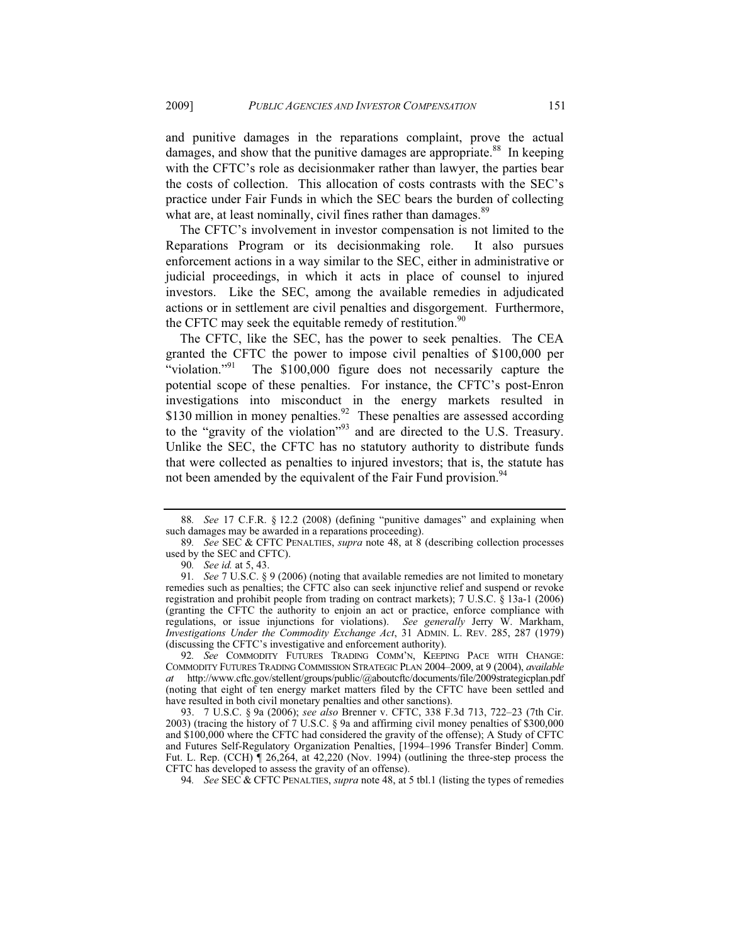and punitive damages in the reparations complaint, prove the actual damages, and show that the punitive damages are appropriate.<sup>88</sup> In keeping with the CFTC's role as decisionmaker rather than lawyer, the parties bear the costs of collection. This allocation of costs contrasts with the SEC's practice under Fair Funds in which the SEC bears the burden of collecting what are, at least nominally, civil fines rather than damages.<sup>89</sup>

The CFTC's involvement in investor compensation is not limited to the Reparations Program or its decisionmaking role. It also pursues enforcement actions in a way similar to the SEC, either in administrative or judicial proceedings, in which it acts in place of counsel to injured investors. Like the SEC, among the available remedies in adjudicated actions or in settlement are civil penalties and disgorgement. Furthermore, the CFTC may seek the equitable remedy of restitution.<sup>90</sup>

The CFTC, like the SEC, has the power to seek penalties. The CEA granted the CFTC the power to impose civil penalties of \$100,000 per "violation."<sup>91</sup> The  $$100,000$  figure does not necessarily capture the potential scope of these penalties. For instance, the CFTC's post-Enron investigations into misconduct in the energy markets resulted in \$130 million in money penalties.<sup>92</sup> These penalties are assessed according to the "gravity of the violation"93 and are directed to the U.S. Treasury. Unlike the SEC, the CFTC has no statutory authority to distribute funds that were collected as penalties to injured investors; that is, the statute has not been amended by the equivalent of the Fair Fund provision.<sup>94</sup>

92*. See* COMMODITY FUTURES TRADING COMM'N, KEEPING PACE WITH CHANGE: COMMODITY FUTURES TRADING COMMISSION STRATEGIC PLAN 2004–2009, at 9 (2004), *available at* http://www.cftc.gov/stellent/groups/public/@aboutcftc/documents/file/2009strategicplan.pdf (noting that eight of ten energy market matters filed by the CFTC have been settled and have resulted in both civil monetary penalties and other sanctions).

 93. 7 U.S.C. § 9a (2006); *see also* Brenner v. CFTC, 338 F.3d 713, 722–23 (7th Cir. 2003) (tracing the history of 7 U.S.C. § 9a and affirming civil money penalties of \$300,000 and \$100,000 where the CFTC had considered the gravity of the offense); A Study of CFTC and Futures Self-Regulatory Organization Penalties, [1994–1996 Transfer Binder] Comm. Fut. L. Rep. (CCH) ¶ 26,264, at 42,220 (Nov. 1994) (outlining the three-step process the CFTC has developed to assess the gravity of an offense).

94*. See* SEC & CFTC PENALTIES, *supra* note 48, at 5 tbl.1 (listing the types of remedies

<sup>88</sup>*. See* 17 C.F.R. § 12.2 (2008) (defining "punitive damages" and explaining when such damages may be awarded in a reparations proceeding).

<sup>89</sup>*. See* SEC & CFTC PENALTIES, *supra* note 48, at 8 (describing collection processes used by the SEC and CFTC).

<sup>90</sup>*. See id.* at 5, 43.

<sup>91</sup>*. See* 7 U.S.C. § 9 (2006) (noting that available remedies are not limited to monetary remedies such as penalties; the CFTC also can seek injunctive relief and suspend or revoke registration and prohibit people from trading on contract markets); 7 U.S.C. § 13a-1 (2006) (granting the CFTC the authority to enjoin an act or practice, enforce compliance with regulations, or issue injunctions for violations). *See generally* Jerry W. Markham, *Investigations Under the Commodity Exchange Act*, 31 ADMIN. L. REV. 285, 287 (1979) (discussing the CFTC's investigative and enforcement authority).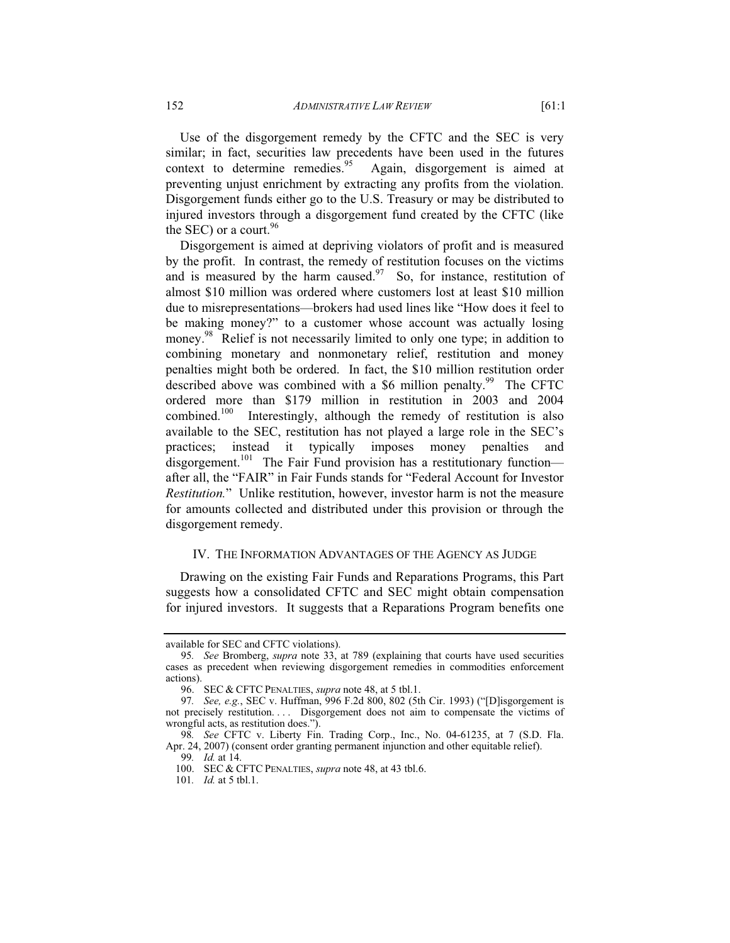Use of the disgorgement remedy by the CFTC and the SEC is very similar; in fact, securities law precedents have been used in the futures context to determine remedies.<sup>95</sup> Again, disgorgement is aimed at preventing unjust enrichment by extracting any profits from the violation. Disgorgement funds either go to the U.S. Treasury or may be distributed to injured investors through a disgorgement fund created by the CFTC (like the SEC) or a court.<sup>96</sup>

Disgorgement is aimed at depriving violators of profit and is measured by the profit. In contrast, the remedy of restitution focuses on the victims and is measured by the harm caused.<sup>97</sup> So, for instance, restitution of almost \$10 million was ordered where customers lost at least \$10 million due to misrepresentations—brokers had used lines like "How does it feel to be making money?" to a customer whose account was actually losing money.<sup>98</sup> Relief is not necessarily limited to only one type; in addition to combining monetary and nonmonetary relief, restitution and money penalties might both be ordered. In fact, the \$10 million restitution order described above was combined with a \$6 million penalty.<sup>99</sup> The CFTC ordered more than \$179 million in restitution in 2003 and 2004 combined.<sup>100</sup> Interestingly, although the remedy of restitution is also available to the SEC, restitution has not played a large role in the SEC's practices; instead it typically imposes money penalties and disgorgement.<sup>101</sup> The Fair Fund provision has a restitutionary function after all, the "FAIR" in Fair Funds stands for "Federal Account for Investor *Restitution.*" Unlike restitution, however, investor harm is not the measure for amounts collected and distributed under this provision or through the disgorgement remedy.

#### IV. THE INFORMATION ADVANTAGES OF THE AGENCY AS JUDGE

Drawing on the existing Fair Funds and Reparations Programs, this Part suggests how a consolidated CFTC and SEC might obtain compensation for injured investors. It suggests that a Reparations Program benefits one

available for SEC and CFTC violations).

<sup>95</sup>*. See* Bromberg, *supra* note 33, at 789 (explaining that courts have used securities cases as precedent when reviewing disgorgement remedies in commodities enforcement actions).

 <sup>96.</sup> SEC & CFTC PENALTIES, *supra* note 48, at 5 tbl.1.

<sup>97</sup>*. See, e.g.*, SEC v. Huffman, 996 F.2d 800, 802 (5th Cir. 1993) ("[D]isgorgement is not precisely restitution. . . . Disgorgement does not aim to compensate the victims of wrongful acts, as restitution does.").

<sup>98</sup>*. See* CFTC v. Liberty Fin. Trading Corp., Inc., No. 04-61235, at 7 (S.D. Fla. Apr. 24, 2007) (consent order granting permanent injunction and other equitable relief).

<sup>99</sup>*. Id.* at 14.

 <sup>100.</sup> SEC & CFTC PENALTIES, *supra* note 48, at 43 tbl.6.

<sup>101</sup>*. Id.* at 5 tbl.1.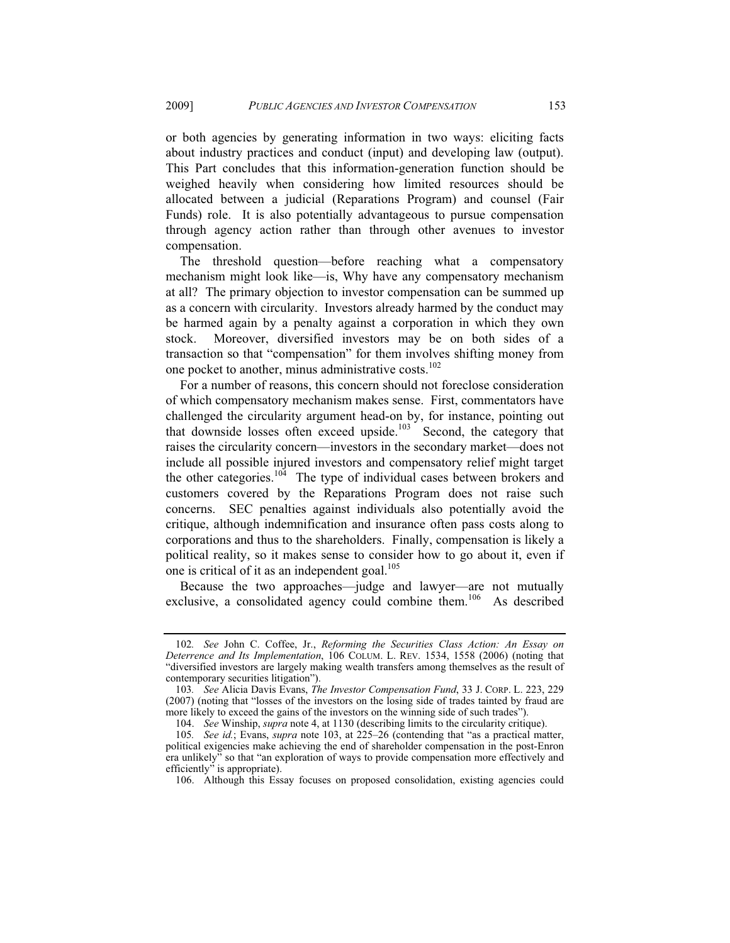or both agencies by generating information in two ways: eliciting facts about industry practices and conduct (input) and developing law (output). This Part concludes that this information-generation function should be weighed heavily when considering how limited resources should be allocated between a judicial (Reparations Program) and counsel (Fair Funds) role. It is also potentially advantageous to pursue compensation through agency action rather than through other avenues to investor compensation.

The threshold question—before reaching what a compensatory mechanism might look like—is, Why have any compensatory mechanism at all? The primary objection to investor compensation can be summed up as a concern with circularity. Investors already harmed by the conduct may be harmed again by a penalty against a corporation in which they own stock. Moreover, diversified investors may be on both sides of a transaction so that "compensation" for them involves shifting money from one pocket to another, minus administrative costs.<sup>102</sup>

For a number of reasons, this concern should not foreclose consideration of which compensatory mechanism makes sense. First, commentators have challenged the circularity argument head-on by, for instance, pointing out that downside losses often exceed upside.<sup>103</sup> Second, the category that raises the circularity concern—investors in the secondary market—does not include all possible injured investors and compensatory relief might target the other categories.<sup>104</sup> The type of individual cases between brokers and customers covered by the Reparations Program does not raise such concerns. SEC penalties against individuals also potentially avoid the critique, although indemnification and insurance often pass costs along to corporations and thus to the shareholders. Finally, compensation is likely a political reality, so it makes sense to consider how to go about it, even if one is critical of it as an independent goal.<sup>105</sup>

Because the two approaches—judge and lawyer—are not mutually exclusive, a consolidated agency could combine them.<sup>106</sup> As described

<sup>102</sup>*. See* John C. Coffee, Jr., *Reforming the Securities Class Action: An Essay on Deterrence and Its Implementation*, 106 COLUM. L. REV. 1534, 1558 (2006) (noting that "diversified investors are largely making wealth transfers among themselves as the result of contemporary securities litigation").

<sup>103</sup>*. See* Alicia Davis Evans, *The Investor Compensation Fund*, 33 J. CORP. L. 223, 229 (2007) (noting that "losses of the investors on the losing side of trades tainted by fraud are more likely to exceed the gains of the investors on the winning side of such trades").

 <sup>104.</sup> *See* Winship, *supra* note 4, at 1130 (describing limits to the circularity critique).

<sup>105</sup>*. See id.*; Evans, *supra* note 103, at 225–26 (contending that "as a practical matter, political exigencies make achieving the end of shareholder compensation in the post-Enron era unlikely" so that "an exploration of ways to provide compensation more effectively and efficiently" is appropriate).

 <sup>106.</sup> Although this Essay focuses on proposed consolidation, existing agencies could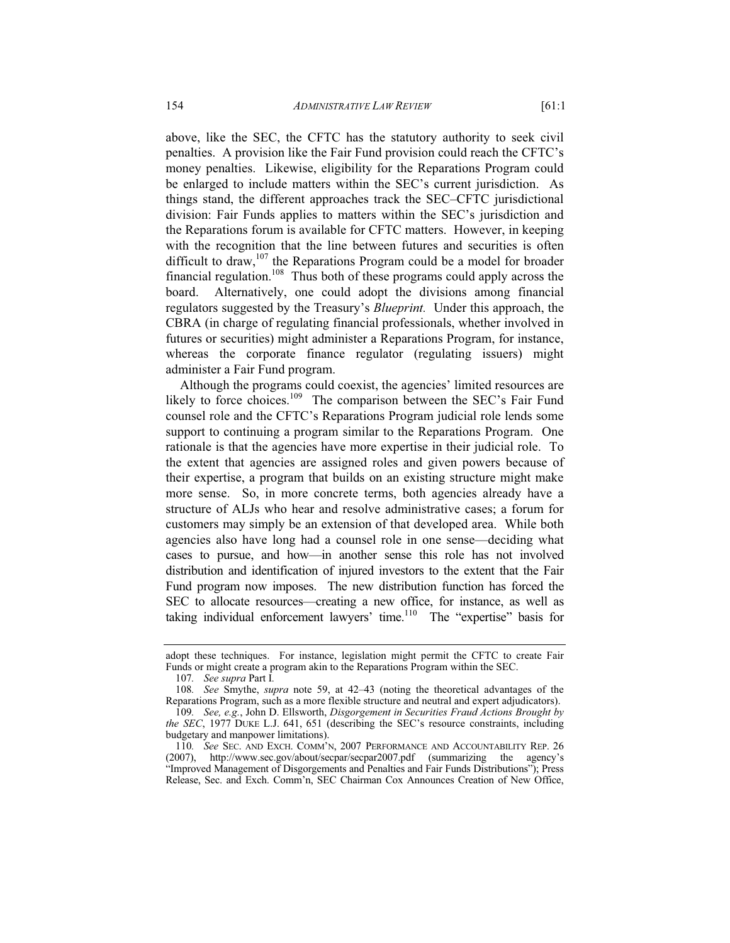above, like the SEC, the CFTC has the statutory authority to seek civil penalties. A provision like the Fair Fund provision could reach the CFTC's money penalties. Likewise, eligibility for the Reparations Program could be enlarged to include matters within the SEC's current jurisdiction. As things stand, the different approaches track the SEC–CFTC jurisdictional division: Fair Funds applies to matters within the SEC's jurisdiction and the Reparations forum is available for CFTC matters. However, in keeping with the recognition that the line between futures and securities is often difficult to draw, $107$  the Reparations Program could be a model for broader financial regulation.<sup>108</sup> Thus both of these programs could apply across the board. Alternatively, one could adopt the divisions among financial regulators suggested by the Treasury's *Blueprint.* Under this approach, the CBRA (in charge of regulating financial professionals, whether involved in futures or securities) might administer a Reparations Program, for instance, whereas the corporate finance regulator (regulating issuers) might administer a Fair Fund program.

Although the programs could coexist, the agencies' limited resources are likely to force choices.<sup>109</sup> The comparison between the SEC's Fair Fund counsel role and the CFTC's Reparations Program judicial role lends some support to continuing a program similar to the Reparations Program. One rationale is that the agencies have more expertise in their judicial role. To the extent that agencies are assigned roles and given powers because of their expertise, a program that builds on an existing structure might make more sense. So, in more concrete terms, both agencies already have a structure of ALJs who hear and resolve administrative cases; a forum for customers may simply be an extension of that developed area. While both agencies also have long had a counsel role in one sense—deciding what cases to pursue, and how—in another sense this role has not involved distribution and identification of injured investors to the extent that the Fair Fund program now imposes. The new distribution function has forced the SEC to allocate resources—creating a new office, for instance, as well as taking individual enforcement lawyers' time.<sup>110</sup> The "expertise" basis for

adopt these techniques. For instance, legislation might permit the CFTC to create Fair Funds or might create a program akin to the Reparations Program within the SEC.

<sup>107</sup>*. See supra* Part I*.*

<sup>108</sup>*. See* Smythe, *supra* note 59, at 42–43 (noting the theoretical advantages of the Reparations Program, such as a more flexible structure and neutral and expert adjudicators).

<sup>109</sup>*. See, e.g.*, John D. Ellsworth, *Disgorgement in Securities Fraud Actions Brought by the SEC*, 1977 DUKE L.J. 641, 651 (describing the SEC's resource constraints, including budgetary and manpower limitations).

<sup>110</sup>*. See* SEC. AND EXCH. COMM'N, 2007 PERFORMANCE AND ACCOUNTABILITY REP. 26 (2007), http://www.sec.gov/about/secpar/secpar2007.pdf (summarizing the agency's "Improved Management of Disgorgements and Penalties and Fair Funds Distributions"); Press Release, Sec. and Exch. Comm'n, SEC Chairman Cox Announces Creation of New Office,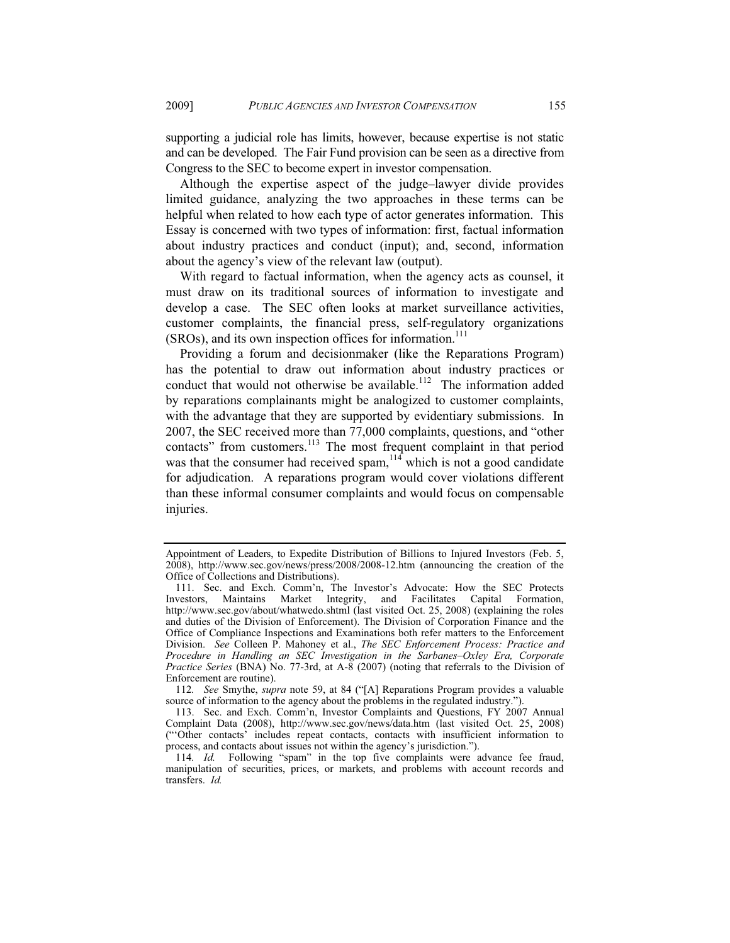supporting a judicial role has limits, however, because expertise is not static and can be developed. The Fair Fund provision can be seen as a directive from Congress to the SEC to become expert in investor compensation.

Although the expertise aspect of the judge–lawyer divide provides limited guidance, analyzing the two approaches in these terms can be helpful when related to how each type of actor generates information. This Essay is concerned with two types of information: first, factual information about industry practices and conduct (input); and, second, information about the agency's view of the relevant law (output).

With regard to factual information, when the agency acts as counsel, it must draw on its traditional sources of information to investigate and develop a case. The SEC often looks at market surveillance activities, customer complaints, the financial press, self-regulatory organizations  $(SROS)$ , and its own inspection offices for information.<sup>111</sup>

Providing a forum and decisionmaker (like the Reparations Program) has the potential to draw out information about industry practices or conduct that would not otherwise be available.<sup>112</sup> The information added by reparations complainants might be analogized to customer complaints, with the advantage that they are supported by evidentiary submissions. In 2007, the SEC received more than 77,000 complaints, questions, and "other contacts" from customers.<sup>113</sup> The most frequent complaint in that period was that the consumer had received spam,  $114$  which is not a good candidate for adjudication. A reparations program would cover violations different than these informal consumer complaints and would focus on compensable injuries.

Appointment of Leaders, to Expedite Distribution of Billions to Injured Investors (Feb. 5, 2008), http://www.sec.gov/news/press/2008/2008-12.htm (announcing the creation of the Office of Collections and Distributions).

 <sup>111.</sup> Sec. and Exch. Comm'n, The Investor's Advocate: How the SEC Protects Investors, Maintains Market Integrity, and Facilitates Capital Formation, http://www.sec.gov/about/whatwedo.shtml (last visited Oct. 25, 2008) (explaining the roles and duties of the Division of Enforcement). The Division of Corporation Finance and the Office of Compliance Inspections and Examinations both refer matters to the Enforcement Division. *See* Colleen P. Mahoney et al., *The SEC Enforcement Process: Practice and Procedure in Handling an SEC Investigation in the Sarbanes–Oxley Era, Corporate Practice Series* (BNA) No. 77-3rd, at A-8 (2007) (noting that referrals to the Division of Enforcement are routine).

<sup>112</sup>*. See* Smythe, *supra* note 59, at 84 ("[A] Reparations Program provides a valuable source of information to the agency about the problems in the regulated industry.").

 <sup>113.</sup> Sec. and Exch. Comm'n, Investor Complaints and Questions, FY 2007 Annual Complaint Data (2008), http://www.sec.gov/news/data.htm (last visited Oct. 25, 2008) ("'Other contacts' includes repeat contacts, contacts with insufficient information to process, and contacts about issues not within the agency's jurisdiction.").

<sup>114</sup>*. Id.* Following "spam" in the top five complaints were advance fee fraud, manipulation of securities, prices, or markets, and problems with account records and transfers. *Id.*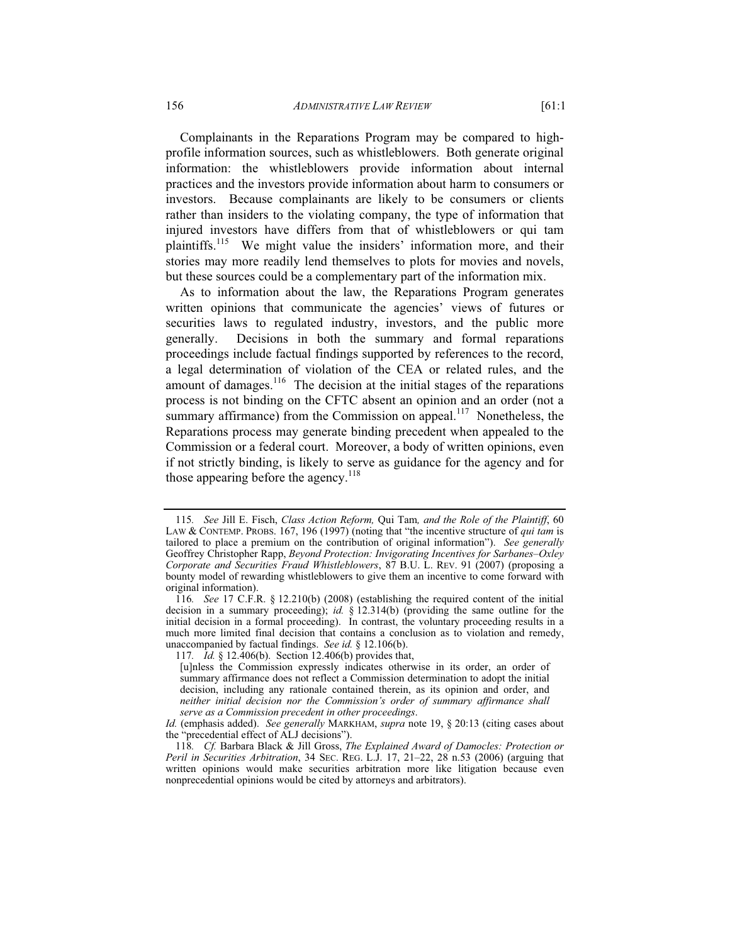Complainants in the Reparations Program may be compared to highprofile information sources, such as whistleblowers. Both generate original information: the whistleblowers provide information about internal practices and the investors provide information about harm to consumers or investors. Because complainants are likely to be consumers or clients rather than insiders to the violating company, the type of information that injured investors have differs from that of whistleblowers or qui tam plaintiffs.115 We might value the insiders' information more, and their stories may more readily lend themselves to plots for movies and novels, but these sources could be a complementary part of the information mix.

As to information about the law, the Reparations Program generates written opinions that communicate the agencies' views of futures or securities laws to regulated industry, investors, and the public more generally. Decisions in both the summary and formal reparations proceedings include factual findings supported by references to the record, a legal determination of violation of the CEA or related rules, and the amount of damages.<sup>116</sup> The decision at the initial stages of the reparations process is not binding on the CFTC absent an opinion and an order (not a summary affirmance) from the Commission on appeal.<sup>117</sup> Nonetheless, the Reparations process may generate binding precedent when appealed to the Commission or a federal court. Moreover, a body of written opinions, even if not strictly binding, is likely to serve as guidance for the agency and for those appearing before the agency.<sup>118</sup>

<sup>115</sup>*. See* Jill E. Fisch, *Class Action Reform,* Qui Tam*, and the Role of the Plaintiff*, 60 LAW & CONTEMP. PROBS. 167, 196 (1997) (noting that "the incentive structure of *qui tam* is tailored to place a premium on the contribution of original information"). *See generally*  Geoffrey Christopher Rapp, *Beyond Protection: Invigorating Incentives for Sarbanes–Oxley Corporate and Securities Fraud Whistleblowers*, 87 B.U. L. REV. 91 (2007) (proposing a bounty model of rewarding whistleblowers to give them an incentive to come forward with original information).

<sup>116</sup>*. See* 17 C.F.R. § 12.210(b) (2008) (establishing the required content of the initial decision in a summary proceeding); *id.* § 12.314(b) (providing the same outline for the initial decision in a formal proceeding). In contrast, the voluntary proceeding results in a much more limited final decision that contains a conclusion as to violation and remedy, unaccompanied by factual findings. *See id.* § 12.106(b).

<sup>117</sup>*. Id.* § 12.406(b). Section 12.406(b) provides that,

<sup>[</sup>u]nless the Commission expressly indicates otherwise in its order, an order of summary affirmance does not reflect a Commission determination to adopt the initial decision, including any rationale contained therein, as its opinion and order, and *neither initial decision nor the Commission's order of summary affirmance shall serve as a Commission precedent in other proceedings*.

*Id.* (emphasis added). *See generally* MARKHAM, *supra* note 19, § 20:13 (citing cases about the "precedential effect of ALJ decisions").

<sup>118</sup>*. Cf.* Barbara Black & Jill Gross, *The Explained Award of Damocles: Protection or Peril in Securities Arbitration*, 34 SEC. REG. L.J. 17, 21–22, 28 n.53 (2006) (arguing that written opinions would make securities arbitration more like litigation because even nonprecedential opinions would be cited by attorneys and arbitrators).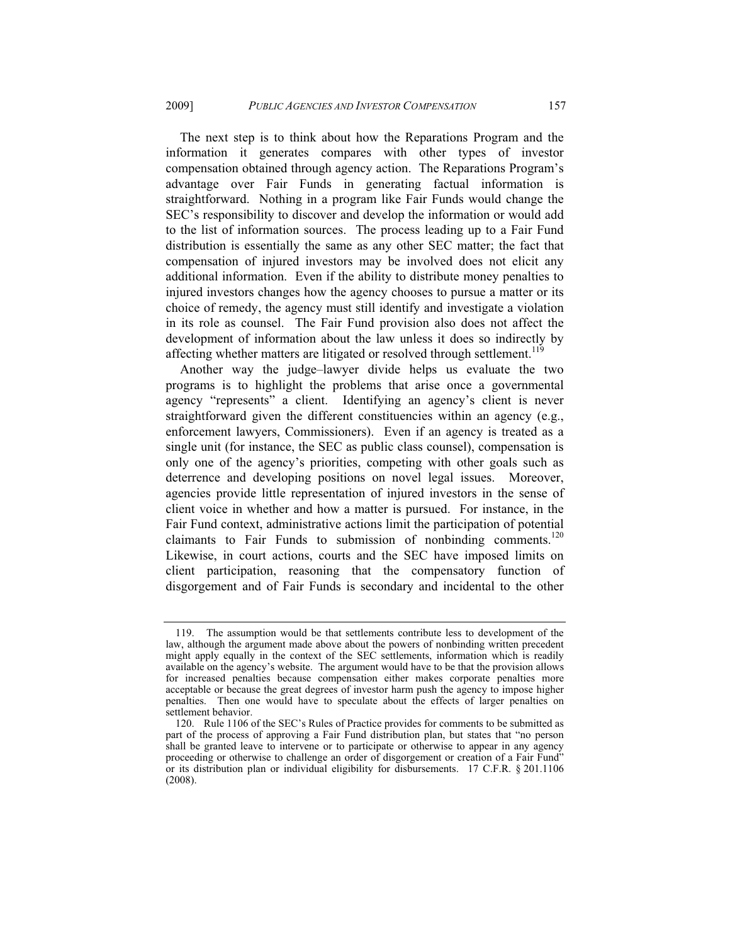The next step is to think about how the Reparations Program and the information it generates compares with other types of investor compensation obtained through agency action. The Reparations Program's advantage over Fair Funds in generating factual information is straightforward. Nothing in a program like Fair Funds would change the SEC's responsibility to discover and develop the information or would add to the list of information sources. The process leading up to a Fair Fund distribution is essentially the same as any other SEC matter; the fact that compensation of injured investors may be involved does not elicit any additional information. Even if the ability to distribute money penalties to injured investors changes how the agency chooses to pursue a matter or its choice of remedy, the agency must still identify and investigate a violation in its role as counsel. The Fair Fund provision also does not affect the development of information about the law unless it does so indirectly by affecting whether matters are litigated or resolved through settlement.<sup>119</sup>

Another way the judge–lawyer divide helps us evaluate the two programs is to highlight the problems that arise once a governmental agency "represents" a client. Identifying an agency's client is never straightforward given the different constituencies within an agency (e.g., enforcement lawyers, Commissioners). Even if an agency is treated as a single unit (for instance, the SEC as public class counsel), compensation is only one of the agency's priorities, competing with other goals such as deterrence and developing positions on novel legal issues. Moreover, agencies provide little representation of injured investors in the sense of client voice in whether and how a matter is pursued. For instance, in the Fair Fund context, administrative actions limit the participation of potential claimants to Fair Funds to submission of nonbinding comments.<sup>120</sup> Likewise, in court actions, courts and the SEC have imposed limits on client participation, reasoning that the compensatory function of disgorgement and of Fair Funds is secondary and incidental to the other

 <sup>119.</sup> The assumption would be that settlements contribute less to development of the law, although the argument made above about the powers of nonbinding written precedent might apply equally in the context of the SEC settlements, information which is readily available on the agency's website. The argument would have to be that the provision allows for increased penalties because compensation either makes corporate penalties more acceptable or because the great degrees of investor harm push the agency to impose higher penalties. Then one would have to speculate about the effects of larger penalties on settlement behavior.

 <sup>120.</sup> Rule 1106 of the SEC's Rules of Practice provides for comments to be submitted as part of the process of approving a Fair Fund distribution plan, but states that "no person shall be granted leave to intervene or to participate or otherwise to appear in any agency proceeding or otherwise to challenge an order of disgorgement or creation of a Fair Fund" or its distribution plan or individual eligibility for disbursements. 17 C.F.R. § 201.1106 (2008).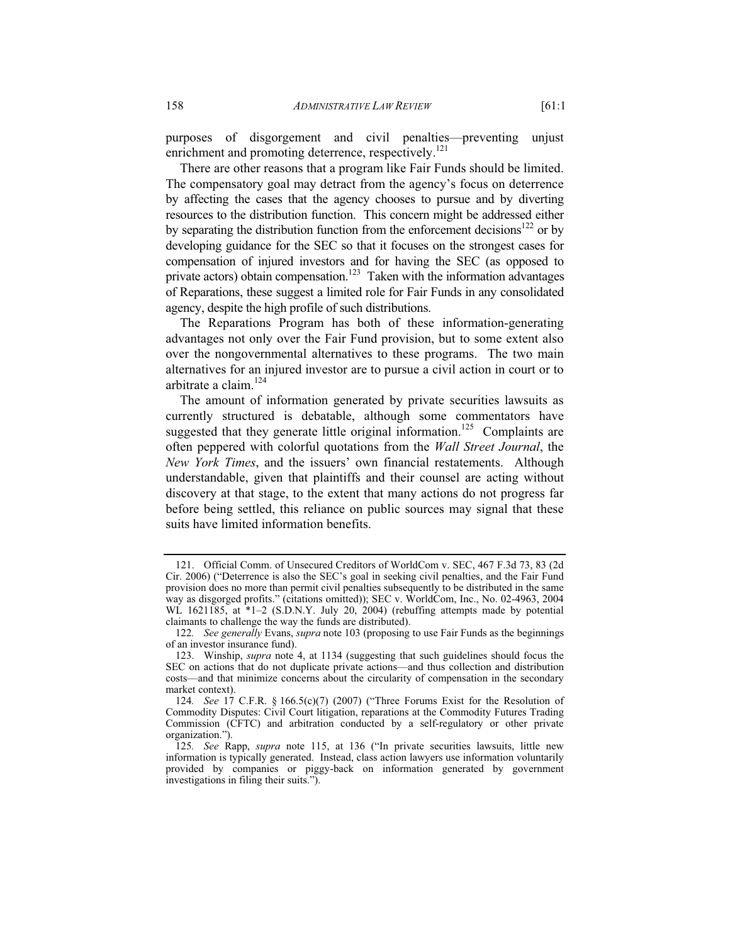purposes of disgorgement and civil penalties—preventing unjust enrichment and promoting deterrence, respectively.<sup>121</sup>

There are other reasons that a program like Fair Funds should be limited. The compensatory goal may detract from the agency's focus on deterrence by affecting the cases that the agency chooses to pursue and by diverting resources to the distribution function. This concern might be addressed either by separating the distribution function from the enforcement decisions<sup>122</sup> or by developing guidance for the SEC so that it focuses on the strongest cases for compensation of injured investors and for having the SEC (as opposed to private actors) obtain compensation.<sup>123</sup> Taken with the information advantages of Reparations, these suggest a limited role for Fair Funds in any consolidated agency, despite the high profile of such distributions.

The Reparations Program has both of these information-generating advantages not only over the Fair Fund provision, but to some extent also over the nongovernmental alternatives to these programs. The two main alternatives for an injured investor are to pursue a civil action in court or to arbitrate a claim.<sup>124</sup>

The amount of information generated by private securities lawsuits as currently structured is debatable, although some commentators have suggested that they generate little original information.<sup>125</sup> Complaints are often peppered with colorful quotations from the *Wall Street Journal*, the *New York Times*, and the issuers' own financial restatements. Although understandable, given that plaintiffs and their counsel are acting without discovery at that stage, to the extent that many actions do not progress far before being settled, this reliance on public sources may signal that these suits have limited information benefits.

 <sup>121.</sup> Official Comm. of Unsecured Creditors of WorldCom v. SEC, 467 F.3d 73, 83 (2d Cir. 2006) ("Deterrence is also the SEC's goal in seeking civil penalties, and the Fair Fund provision does no more than permit civil penalties subsequently to be distributed in the same way as disgorged profits." (citations omitted)); SEC v. WorldCom, Inc., No. 02-4963, 2004 WL 1621185, at \*1-2 (S.D.N.Y. July 20, 2004) (rebuffing attempts made by potential claimants to challenge the way the funds are distributed).

<sup>122</sup>*. See generally* Evans, *supra* note 103 (proposing to use Fair Funds as the beginnings of an investor insurance fund).

 <sup>123.</sup> Winship, *supra* note 4, at 1134 (suggesting that such guidelines should focus the SEC on actions that do not duplicate private actions—and thus collection and distribution costs—and that minimize concerns about the circularity of compensation in the secondary market context).

<sup>124</sup>*. See* 17 C.F.R. § 166.5(c)(7) (2007) ("Three Forums Exist for the Resolution of Commodity Disputes: Civil Court litigation, reparations at the Commodity Futures Trading Commission (CFTC) and arbitration conducted by a self-regulatory or other private organization.").

<sup>125</sup>*. See* Rapp, *supra* note 115, at 136 ("In private securities lawsuits, little new information is typically generated. Instead, class action lawyers use information voluntarily provided by companies or piggy-back on information generated by government investigations in filing their suits.").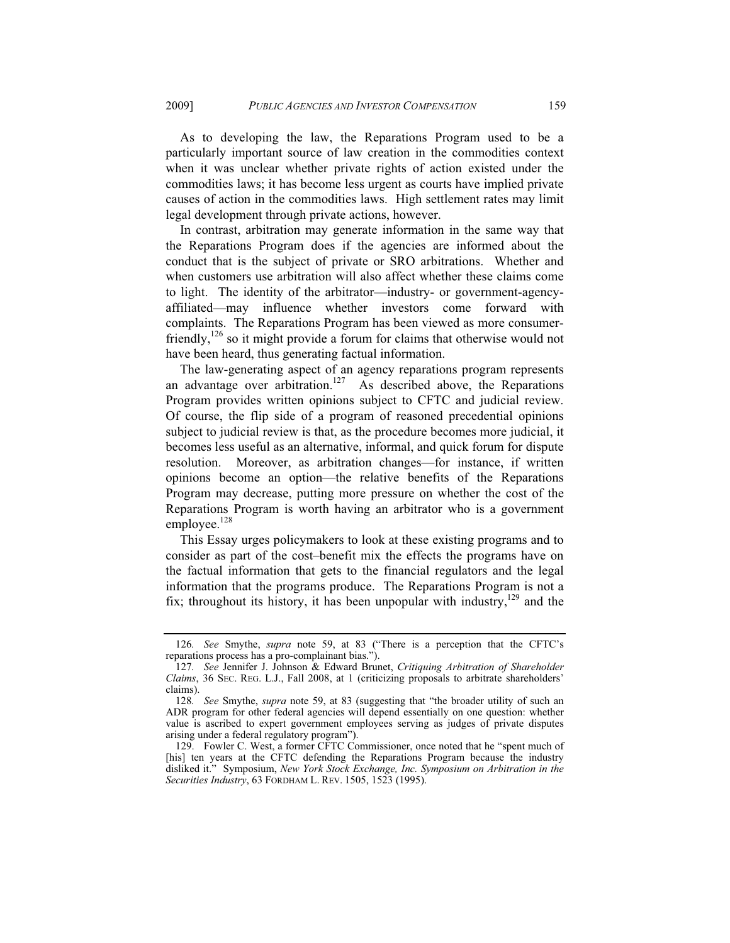As to developing the law, the Reparations Program used to be a particularly important source of law creation in the commodities context when it was unclear whether private rights of action existed under the commodities laws; it has become less urgent as courts have implied private causes of action in the commodities laws. High settlement rates may limit legal development through private actions, however.

In contrast, arbitration may generate information in the same way that the Reparations Program does if the agencies are informed about the conduct that is the subject of private or SRO arbitrations. Whether and when customers use arbitration will also affect whether these claims come to light. The identity of the arbitrator—industry- or government-agencyaffiliated—may influence whether investors come forward with complaints. The Reparations Program has been viewed as more consumerfriendly,<sup>126</sup> so it might provide a forum for claims that otherwise would not have been heard, thus generating factual information.

The law-generating aspect of an agency reparations program represents an advantage over arbitration.<sup>127</sup> As described above, the Reparations Program provides written opinions subject to CFTC and judicial review. Of course, the flip side of a program of reasoned precedential opinions subject to judicial review is that, as the procedure becomes more judicial, it becomes less useful as an alternative, informal, and quick forum for dispute resolution. Moreover, as arbitration changes—for instance, if written opinions become an option—the relative benefits of the Reparations Program may decrease, putting more pressure on whether the cost of the Reparations Program is worth having an arbitrator who is a government employee.<sup>128</sup>

This Essay urges policymakers to look at these existing programs and to consider as part of the cost–benefit mix the effects the programs have on the factual information that gets to the financial regulators and the legal information that the programs produce. The Reparations Program is not a fix; throughout its history, it has been unpopular with industry, $129$  and the

<sup>126</sup>*. See* Smythe, *supra* note 59, at 83 ("There is a perception that the CFTC's reparations process has a pro-complainant bias.").

<sup>127</sup>*. See* Jennifer J. Johnson & Edward Brunet, *Critiquing Arbitration of Shareholder Claims*, 36 SEC. REG. L.J., Fall 2008, at 1 (criticizing proposals to arbitrate shareholders' claims).

<sup>128</sup>*. See* Smythe, *supra* note 59, at 83 (suggesting that "the broader utility of such an ADR program for other federal agencies will depend essentially on one question: whether value is ascribed to expert government employees serving as judges of private disputes arising under a federal regulatory program").

 <sup>129.</sup> Fowler C. West, a former CFTC Commissioner, once noted that he "spent much of [his] ten years at the CFTC defending the Reparations Program because the industry disliked it." Symposium, *New York Stock Exchange, Inc. Symposium on Arbitration in the Securities Industry*, 63 FORDHAM L. REV. 1505, 1523 (1995).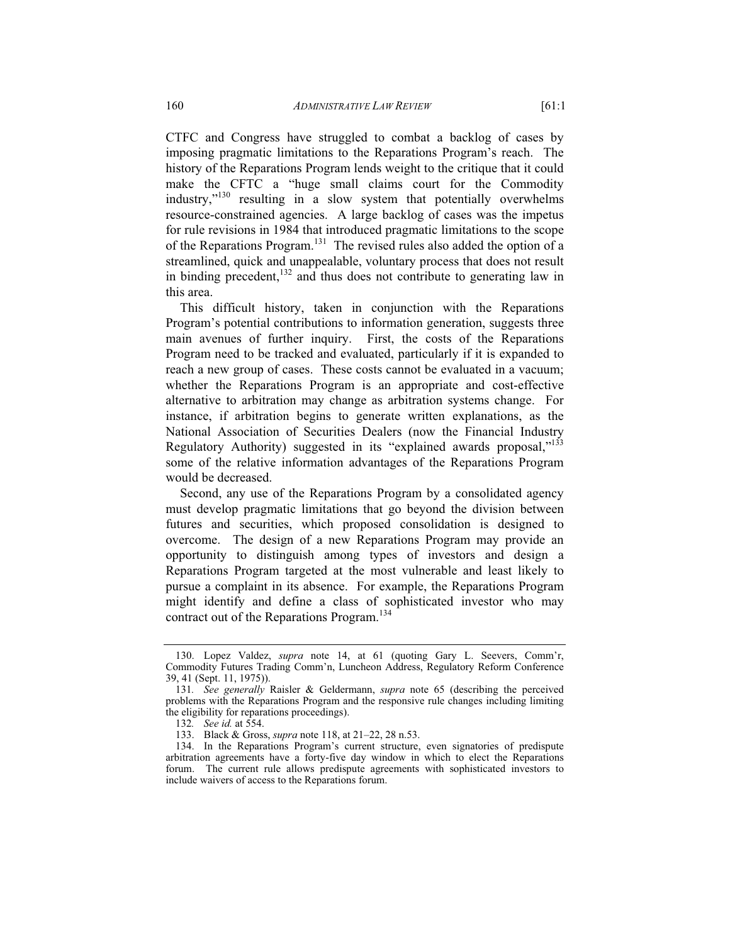CTFC and Congress have struggled to combat a backlog of cases by imposing pragmatic limitations to the Reparations Program's reach. The history of the Reparations Program lends weight to the critique that it could make the CFTC a "huge small claims court for the Commodity industry,"130 resulting in a slow system that potentially overwhelms resource-constrained agencies. A large backlog of cases was the impetus for rule revisions in 1984 that introduced pragmatic limitations to the scope of the Reparations Program.<sup>131</sup> The revised rules also added the option of a streamlined, quick and unappealable, voluntary process that does not result in binding precedent, $132$  and thus does not contribute to generating law in this area.

This difficult history, taken in conjunction with the Reparations Program's potential contributions to information generation, suggests three main avenues of further inquiry. First, the costs of the Reparations Program need to be tracked and evaluated, particularly if it is expanded to reach a new group of cases. These costs cannot be evaluated in a vacuum; whether the Reparations Program is an appropriate and cost-effective alternative to arbitration may change as arbitration systems change. For instance, if arbitration begins to generate written explanations, as the National Association of Securities Dealers (now the Financial Industry Regulatory Authority) suggested in its "explained awards proposal,"<sup>133</sup> some of the relative information advantages of the Reparations Program would be decreased.

Second, any use of the Reparations Program by a consolidated agency must develop pragmatic limitations that go beyond the division between futures and securities, which proposed consolidation is designed to overcome. The design of a new Reparations Program may provide an opportunity to distinguish among types of investors and design a Reparations Program targeted at the most vulnerable and least likely to pursue a complaint in its absence. For example, the Reparations Program might identify and define a class of sophisticated investor who may contract out of the Reparations Program.<sup>134</sup>

 <sup>130.</sup> Lopez Valdez, *supra* note 14, at 61 (quoting Gary L. Seevers, Comm'r, Commodity Futures Trading Comm'n, Luncheon Address, Regulatory Reform Conference 39, 41 (Sept. 11, 1975)).

<sup>131</sup>*. See generally* Raisler & Geldermann, *supra* note 65 (describing the perceived problems with the Reparations Program and the responsive rule changes including limiting the eligibility for reparations proceedings).

<sup>132</sup>*. See id.* at 554.

 <sup>133.</sup> Black & Gross, *supra* note 118, at 21–22, 28 n.53.

 <sup>134.</sup> In the Reparations Program's current structure, even signatories of predispute arbitration agreements have a forty-five day window in which to elect the Reparations forum. The current rule allows predispute agreements with sophisticated investors to include waivers of access to the Reparations forum.